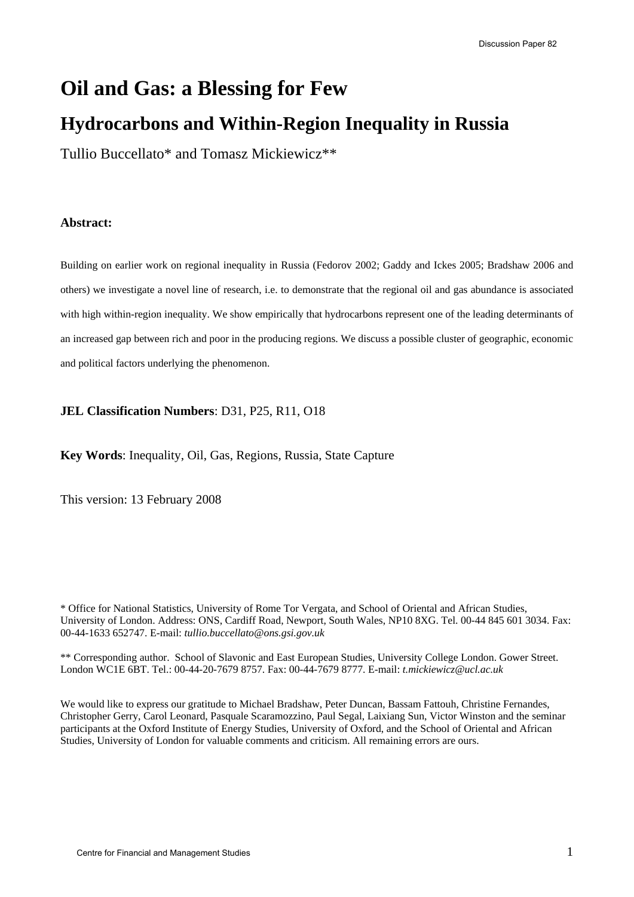# **Oil and Gas: a Blessing for Few**

# **Hydrocarbons and Within-Region Inequality in Russia**

Tullio Buccellato\* and Tomasz Mickiewicz\*\*

# **Abstract:**

Building on earlier work on regional inequality in Russia (Fedorov 2002; Gaddy and Ickes 2005; Bradshaw 2006 and others) we investigate a novel line of research, i.e. to demonstrate that the regional oil and gas abundance is associated with high within-region inequality. We show empirically that hydrocarbons represent one of the leading determinants of an increased gap between rich and poor in the producing regions. We discuss a possible cluster of geographic, economic and political factors underlying the phenomenon.

# **JEL Classification Numbers**: D31, P25, R11, O18

**Key Words**: Inequality, Oil, Gas, Regions, Russia, State Capture

This version: 13 February 2008

\* Office for National Statistics, University of Rome Tor Vergata, and School of Oriental and African Studies, University of London. Address: ONS, Cardiff Road, Newport, South Wales, NP10 8XG. Tel. 00-44 845 601 3034. Fax: 00-44-1633 652747. E-mail: *tullio.buccellato@ons.gsi.gov.uk*

\*\* Corresponding author. School of Slavonic and East European Studies, University College London. Gower Street. London WC1E 6BT. Tel.: 00-44-20-7679 8757. Fax: 00-44-7679 8777. E-mail: *t.mickiewicz@ucl.ac.uk* 

We would like to express our gratitude to Michael Bradshaw, Peter Duncan, Bassam Fattouh, Christine Fernandes, Christopher Gerry, Carol Leonard, Pasquale Scaramozzino, Paul Segal, Laixiang Sun, Victor Winston and the seminar participants at the Oxford Institute of Energy Studies, University of Oxford, and the School of Oriental and African Studies, University of London for valuable comments and criticism. All remaining errors are ours.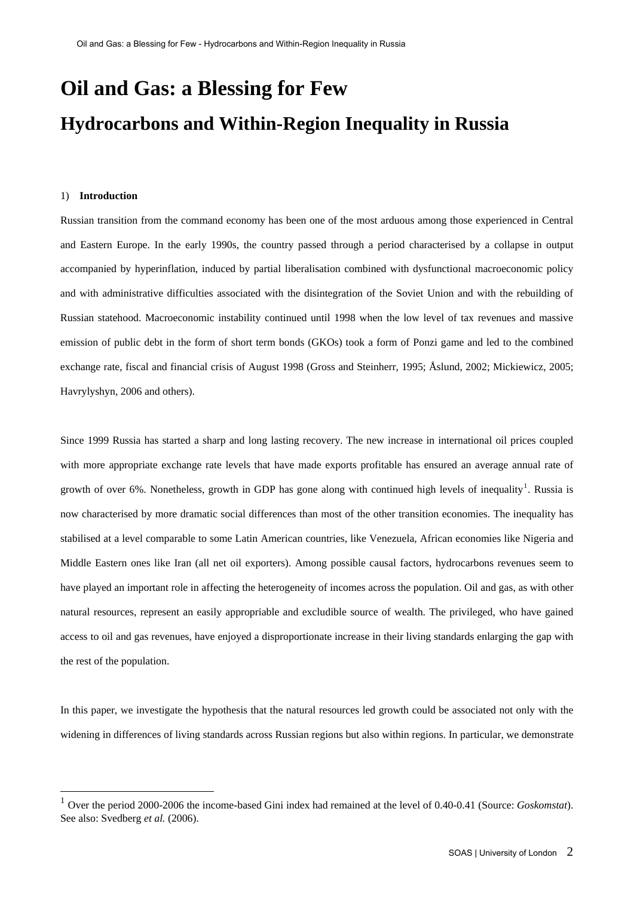# **Oil and Gas: a Blessing for Few Hydrocarbons and Within-Region Inequality in Russia**

#### 1) **Introduction**

 $\overline{a}$ 

Russian transition from the command economy has been one of the most arduous among those experienced in Central and Eastern Europe. In the early 1990s, the country passed through a period characterised by a collapse in output accompanied by hyperinflation, induced by partial liberalisation combined with dysfunctional macroeconomic policy and with administrative difficulties associated with the disintegration of the Soviet Union and with the rebuilding of Russian statehood. Macroeconomic instability continued until 1998 when the low level of tax revenues and massive emission of public debt in the form of short term bonds (GKOs) took a form of Ponzi game and led to the combined exchange rate, fiscal and financial crisis of August 1998 (Gross and Steinherr, 1995; Åslund, 2002; Mickiewicz, 2005; Havrylyshyn, 2006 and others).

Since 1999 Russia has started a sharp and long lasting recovery. The new increase in international oil prices coupled with more appropriate exchange rate levels that have made exports profitable has ensured an average annual rate of growth of over 6%. Nonetheless, growth in GDP has gone along with continued high levels of inequality<sup>[1](#page-1-0)</sup>. Russia is now characterised by more dramatic social differences than most of the other transition economies. The inequality has stabilised at a level comparable to some Latin American countries, like Venezuela, African economies like Nigeria and Middle Eastern ones like Iran (all net oil exporters). Among possible causal factors, hydrocarbons revenues seem to have played an important role in affecting the heterogeneity of incomes across the population. Oil and gas, as with other natural resources, represent an easily appropriable and excludible source of wealth. The privileged, who have gained access to oil and gas revenues, have enjoyed a disproportionate increase in their living standards enlarging the gap with the rest of the population.

In this paper, we investigate the hypothesis that the natural resources led growth could be associated not only with the widening in differences of living standards across Russian regions but also within regions. In particular, we demonstrate

<span id="page-1-0"></span><sup>1</sup> Over the period 2000-2006 the income-based Gini index had remained at the level of 0.40-0.41 (Source: *Goskomstat*). See also: Svedberg *et al.* (2006).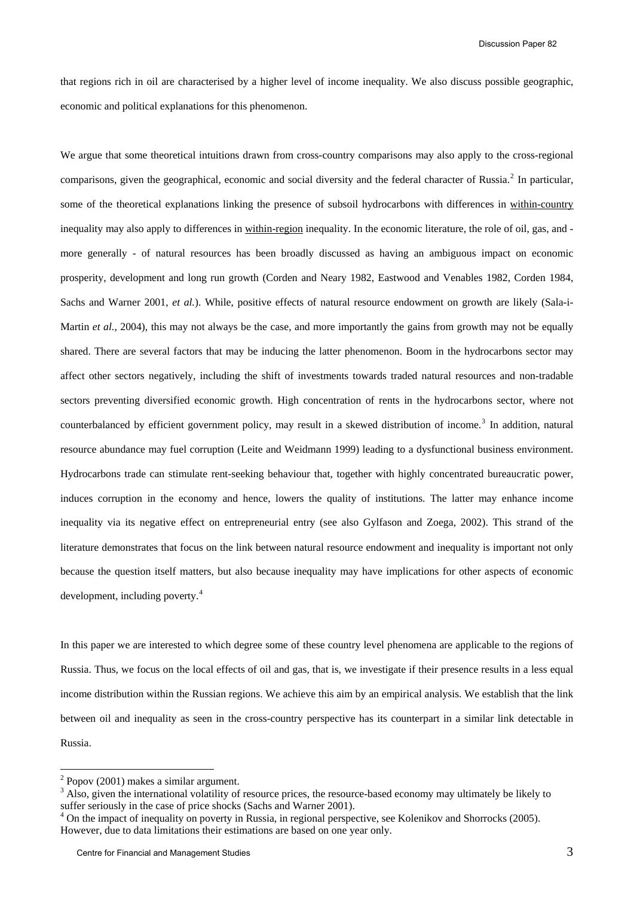that regions rich in oil are characterised by a higher level of income inequality. We also discuss possible geographic, economic and political explanations for this phenomenon.

We argue that some theoretical intuitions drawn from cross-country comparisons may also apply to the cross-regional comparisons, given the geographical, economic and social diversity and the federal character of Russia.<sup>[2](#page-2-0)</sup> In particular, some of the theoretical explanations linking the presence of subsoil hydrocarbons with differences in within-country inequality may also apply to differences in within-region inequality. In the economic literature, the role of oil, gas, and more generally - of natural resources has been broadly discussed as having an ambiguous impact on economic prosperity, development and long run growth (Corden and Neary 1982, Eastwood and Venables 1982, Corden 1984, Sachs and Warner 2001, *et al.*). While, positive effects of natural resource endowment on growth are likely (Sala-i-Martin *et al.*, 2004), this may not always be the case, and more importantly the gains from growth may not be equally shared. There are several factors that may be inducing the latter phenomenon. Boom in the hydrocarbons sector may affect other sectors negatively, including the shift of investments towards traded natural resources and non-tradable sectors preventing diversified economic growth. High concentration of rents in the hydrocarbons sector, where not counterbalanced by efficient government policy, may result in a skewed distribution of income.<sup>[3](#page-2-1)</sup> In addition, natural resource abundance may fuel corruption (Leite and Weidmann 1999) leading to a dysfunctional business environment. Hydrocarbons trade can stimulate rent-seeking behaviour that, together with highly concentrated bureaucratic power, induces corruption in the economy and hence, lowers the quality of institutions. The latter may enhance income inequality via its negative effect on entrepreneurial entry (see also Gylfason and Zoega, 2002). This strand of the literature demonstrates that focus on the link between natural resource endowment and inequality is important not only because the question itself matters, but also because inequality may have implications for other aspects of economic development, including poverty.<sup>[4](#page-2-2)</sup>

In this paper we are interested to which degree some of these country level phenomena are applicable to the regions of Russia. Thus, we focus on the local effects of oil and gas, that is, we investigate if their presence results in a less equal income distribution within the Russian regions. We achieve this aim by an empirical analysis. We establish that the link between oil and inequality as seen in the cross-country perspective has its counterpart in a similar link detectable in Russia.

 $\overline{a}$ 

 $2$  Popov (2001) makes a similar argument.

<span id="page-2-1"></span><span id="page-2-0"></span> $3$  Also, given the international volatility of resource prices, the resource-based economy may ultimately be likely to suffer seriously in the case of price shocks (Sachs and Warner 2001).<br><sup>4</sup> On the impact of inequality on poverty in Russia, in regional perspective, see Kolenikov and Shorrocks (2005).

<span id="page-2-2"></span>However, due to data limitations their estimations are based on one year only.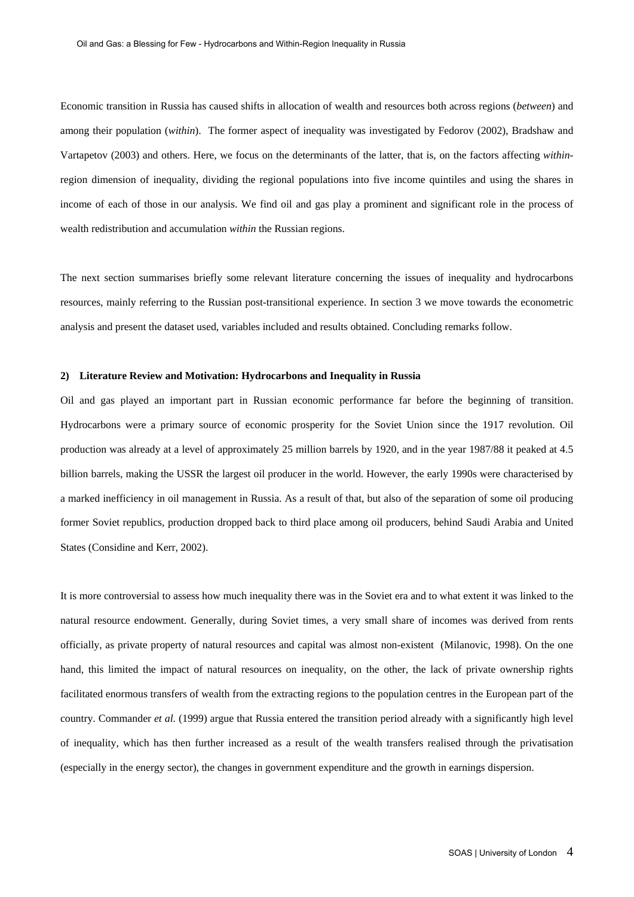Economic transition in Russia has caused shifts in allocation of wealth and resources both across regions (*between*) and among their population (*within*). The former aspect of inequality was investigated by Fedorov (2002), Bradshaw and Vartapetov (2003) and others. Here, we focus on the determinants of the latter, that is, on the factors affecting *within*region dimension of inequality, dividing the regional populations into five income quintiles and using the shares in income of each of those in our analysis. We find oil and gas play a prominent and significant role in the process of wealth redistribution and accumulation *within* the Russian regions.

The next section summarises briefly some relevant literature concerning the issues of inequality and hydrocarbons resources, mainly referring to the Russian post-transitional experience. In section 3 we move towards the econometric analysis and present the dataset used, variables included and results obtained. Concluding remarks follow.

#### **2) Literature Review and Motivation: Hydrocarbons and Inequality in Russia**

Oil and gas played an important part in Russian economic performance far before the beginning of transition. Hydrocarbons were a primary source of economic prosperity for the Soviet Union since the 1917 revolution. Oil production was already at a level of approximately 25 million barrels by 1920, and in the year 1987/88 it peaked at 4.5 billion barrels, making the USSR the largest oil producer in the world. However, the early 1990s were characterised by a marked inefficiency in oil management in Russia. As a result of that, but also of the separation of some oil producing former Soviet republics, production dropped back to third place among oil producers, behind Saudi Arabia and United States (Considine and Kerr, 2002).

It is more controversial to assess how much inequality there was in the Soviet era and to what extent it was linked to the natural resource endowment. Generally, during Soviet times, a very small share of incomes was derived from rents officially, as private property of natural resources and capital was almost non-existent (Milanovic, 1998). On the one hand, this limited the impact of natural resources on inequality, on the other, the lack of private ownership rights facilitated enormous transfers of wealth from the extracting regions to the population centres in the European part of the country. Commander *et al.* (1999) argue that Russia entered the transition period already with a significantly high level of inequality, which has then further increased as a result of the wealth transfers realised through the privatisation (especially in the energy sector), the changes in government expenditure and the growth in earnings dispersion.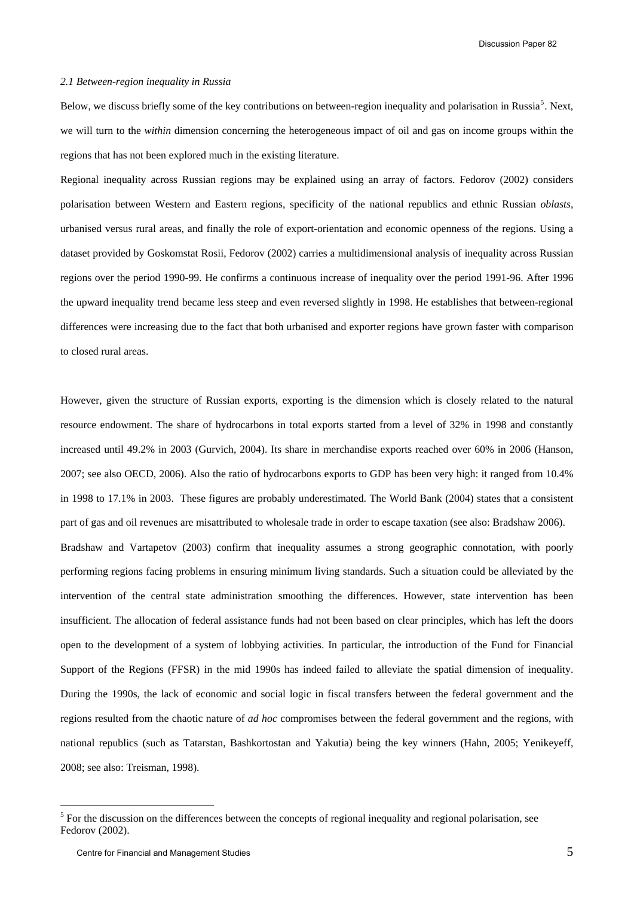Discussion Paper 82

#### <span id="page-4-0"></span>*2.1 Between-region inequality in Russia*

Below, we discuss briefly some of the key contributions on between-region inequality and polarisation in Russia<sup>[5](#page-4-0)</sup>. Next, we will turn to the *within* dimension concerning the heterogeneous impact of oil and gas on income groups within the regions that has not been explored much in the existing literature.

Regional inequality across Russian regions may be explained using an array of factors. Fedorov (2002) considers polarisation between Western and Eastern regions, specificity of the national republics and ethnic Russian *oblasts*, urbanised versus rural areas, and finally the role of export-orientation and economic openness of the regions. Using a dataset provided by Goskomstat Rosii, Fedorov (2002) carries a multidimensional analysis of inequality across Russian regions over the period 1990-99. He confirms a continuous increase of inequality over the period 1991-96. After 1996 the upward inequality trend became less steep and even reversed slightly in 1998. He establishes that between-regional differences were increasing due to the fact that both urbanised and exporter regions have grown faster with comparison to closed rural areas.

However, given the structure of Russian exports, exporting is the dimension which is closely related to the natural resource endowment. The share of hydrocarbons in total exports started from a level of 32% in 1998 and constantly increased until 49.2% in 2003 (Gurvich, 2004). Its share in merchandise exports reached over 60% in 2006 (Hanson, 2007; see also OECD, 2006). Also the ratio of hydrocarbons exports to GDP has been very high: it ranged from 10.4% in 1998 to 17.1% in 2003. These figures are probably underestimated. The World Bank (2004) states that a consistent part of gas and oil revenues are misattributed to wholesale trade in order to escape taxation (see also: Bradshaw 2006). Bradshaw and Vartapetov (2003) confirm that inequality assumes a strong geographic connotation, with poorly performing regions facing problems in ensuring minimum living standards. Such a situation could be alleviated by the intervention of the central state administration smoothing the differences. However, state intervention has been insufficient. The allocation of federal assistance funds had not been based on clear principles, which has left the doors open to the development of a system of lobbying activities. In particular, the introduction of the Fund for Financial Support of the Regions (FFSR) in the mid 1990s has indeed failed to alleviate the spatial dimension of inequality. During the 1990s, the lack of economic and social logic in fiscal transfers between the federal government and the regions resulted from the chaotic nature of *ad hoc* compromises between the federal government and the regions, with national republics (such as Tatarstan, Bashkortostan and Yakutia) being the key winners (Hahn, 2005; Yenikeyeff,

2008; see also: Treisman, 1998).

 $\overline{a}$ 

 $<sup>5</sup>$  For the discussion on the differences between the concepts of regional inequality and regional polarisation, see</sup> Fedorov (2002).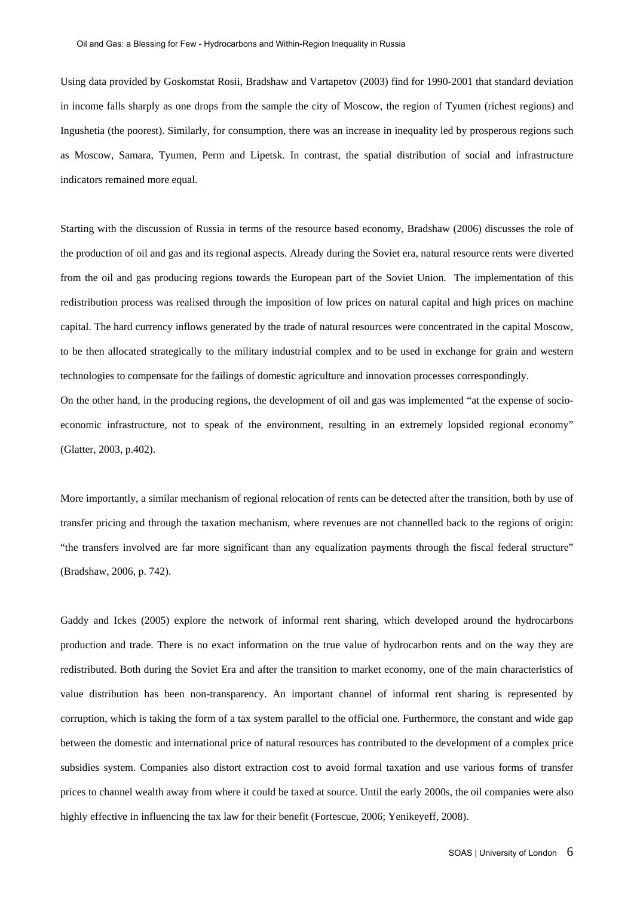Using data provided by Goskomstat Rosii, Bradshaw and Vartapetov (2003) find for 1990-2001 that standard deviation in income falls sharply as one drops from the sample the city of Moscow, the region of Tyumen (richest regions) and Ingushetia (the poorest). Similarly, for consumption, there was an increase in inequality led by prosperous regions such as Moscow, Samara, Tyumen, Perm and Lipetsk. In contrast, the spatial distribution of social and infrastructure indicators remained more equal.

Starting with the discussion of Russia in terms of the resource based economy, Bradshaw (2006) discusses the role of the production of oil and gas and its regional aspects. Already during the Soviet era, natural resource rents were diverted from the oil and gas producing regions towards the European part of the Soviet Union. The implementation of this redistribution process was realised through the imposition of low prices on natural capital and high prices on machine capital. The hard currency inflows generated by the trade of natural resources were concentrated in the capital Moscow, to be then allocated strategically to the military industrial complex and to be used in exchange for grain and western technologies to compensate for the failings of domestic agriculture and innovation processes correspondingly. On the other hand, in the producing regions, the development of oil and gas was implemented "at the expense of socioeconomic infrastructure, not to speak of the environment, resulting in an extremely lopsided regional economy" (Glatter, 2003, p.402).

More importantly, a similar mechanism of regional relocation of rents can be detected after the transition, both by use of transfer pricing and through the taxation mechanism, where revenues are not channelled back to the regions of origin: "the transfers involved are far more significant than any equalization payments through the fiscal federal structure" (Bradshaw, 2006, p. 742).

Gaddy and Ickes (2005) explore the network of informal rent sharing, which developed around the hydrocarbons production and trade. There is no exact information on the true value of hydrocarbon rents and on the way they are redistributed. Both during the Soviet Era and after the transition to market economy, one of the main characteristics of value distribution has been non-transparency. An important channel of informal rent sharing is represented by corruption, which is taking the form of a tax system parallel to the official one. Furthermore, the constant and wide gap between the domestic and international price of natural resources has contributed to the development of a complex price subsidies system. Companies also distort extraction cost to avoid formal taxation and use various forms of transfer prices to channel wealth away from where it could be taxed at source. Until the early 2000s, the oil companies were also highly effective in influencing the tax law for their benefit (Fortescue, 2006; Yenikeyeff, 2008).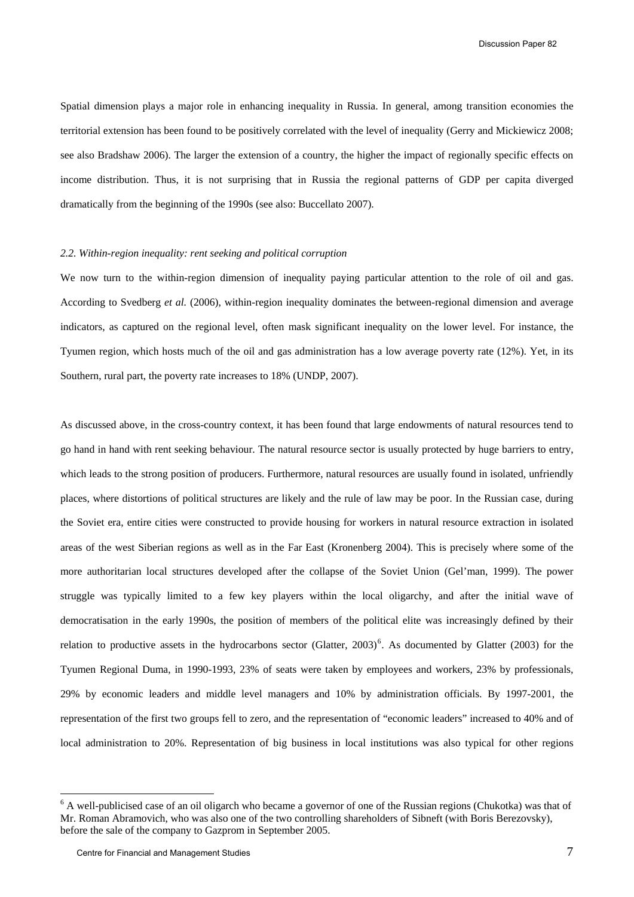<span id="page-6-0"></span>Spatial dimension plays a major role in enhancing inequality in Russia. In general, among transition economies the territorial extension has been found to be positively correlated with the level of inequality (Gerry and Mickiewicz 2008; see also Bradshaw 2006). The larger the extension of a country, the higher the impact of regionally specific effects on income distribution. Thus, it is not surprising that in Russia the regional patterns of GDP per capita diverged dramatically from the beginning of the 1990s (see also: Buccellato 2007).

#### *2.2. Within-region inequality: rent seeking and political corruption*

We now turn to the within-region dimension of inequality paying particular attention to the role of oil and gas. According to Svedberg *et al.* (2006), within-region inequality dominates the between-regional dimension and average indicators, as captured on the regional level, often mask significant inequality on the lower level. For instance, the Tyumen region, which hosts much of the oil and gas administration has a low average poverty rate (12%). Yet, in its Southern, rural part, the poverty rate increases to 18% (UNDP, 2007).

As discussed above, in the cross-country context, it has been found that large endowments of natural resources tend to go hand in hand with rent seeking behaviour. The natural resource sector is usually protected by huge barriers to entry, which leads to the strong position of producers. Furthermore, natural resources are usually found in isolated, unfriendly places, where distortions of political structures are likely and the rule of law may be poor. In the Russian case, during the Soviet era, entire cities were constructed to provide housing for workers in natural resource extraction in isolated areas of the west Siberian regions as well as in the Far East (Kronenberg 2004). This is precisely where some of the more authoritarian local structures developed after the collapse of the Soviet Union (Gel'man, 1999). The power struggle was typically limited to a few key players within the local oligarchy, and after the initial wave of democratisation in the early 1990s, the position of members of the political elite was increasingly defined by their relation to productive assets in the hydrocarbons sector (Glatter,  $2003$ )<sup>[6](#page-6-0)</sup>. As documented by Glatter (2003) for the Tyumen Regional Duma, in 1990-1993, 23% of seats were taken by employees and workers, 23% by professionals, 29% by economic leaders and middle level managers and 10% by administration officials. By 1997-2001, the representation of the first two groups fell to zero, and the representation of "economic leaders" increased to 40% and of local administration to 20%. Representation of big business in local institutions was also typical for other regions

 $\overline{a}$ 

<sup>&</sup>lt;sup>6</sup> A well-publicised case of an oil oligarch who became a governor of one of the Russian regions (Chukotka) was that of Mr. Roman Abramovich, who was also one of the two controlling shareholders of Sibneft (with Boris Berezovsky), before the sale of the company to Gazprom in September 2005.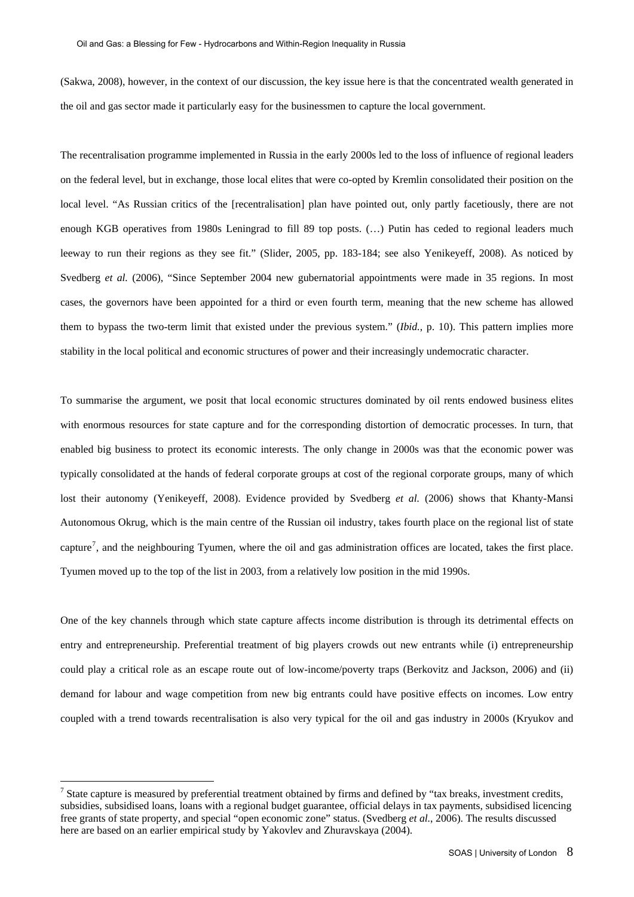<span id="page-7-0"></span>(Sakwa, 2008), however, in the context of our discussion, the key issue here is that the concentrated wealth generated in the oil and gas sector made it particularly easy for the businessmen to capture the local government.

The recentralisation programme implemented in Russia in the early 2000s led to the loss of influence of regional leaders on the federal level, but in exchange, those local elites that were co-opted by Kremlin consolidated their position on the local level. "As Russian critics of the [recentralisation] plan have pointed out, only partly facetiously, there are not enough KGB operatives from 1980s Leningrad to fill 89 top posts. (…) Putin has ceded to regional leaders much leeway to run their regions as they see fit." (Slider, 2005, pp. 183-184; see also Yenikeyeff, 2008). As noticed by Svedberg *et al.* (2006), "Since September 2004 new gubernatorial appointments were made in 35 regions. In most cases, the governors have been appointed for a third or even fourth term, meaning that the new scheme has allowed them to bypass the two-term limit that existed under the previous system." (*Ibid.*, p. 10). This pattern implies more stability in the local political and economic structures of power and their increasingly undemocratic character.

To summarise the argument, we posit that local economic structures dominated by oil rents endowed business elites with enormous resources for state capture and for the corresponding distortion of democratic processes. In turn, that enabled big business to protect its economic interests. The only change in 2000s was that the economic power was typically consolidated at the hands of federal corporate groups at cost of the regional corporate groups, many of which lost their autonomy (Yenikeyeff, 2008). Evidence provided by Svedberg *et al.* (2006) shows that Khanty-Mansi Autonomous Okrug, which is the main centre of the Russian oil industry, takes fourth place on the regional list of state capture<sup>[7](#page-7-0)</sup>, and the neighbouring Tyumen, where the oil and gas administration offices are located, takes the first place. Tyumen moved up to the top of the list in 2003, from a relatively low position in the mid 1990s.

One of the key channels through which state capture affects income distribution is through its detrimental effects on entry and entrepreneurship. Preferential treatment of big players crowds out new entrants while (i) entrepreneurship could play a critical role as an escape route out of low-income/poverty traps (Berkovitz and Jackson, 2006) and (ii) demand for labour and wage competition from new big entrants could have positive effects on incomes. Low entry coupled with a trend towards recentralisation is also very typical for the oil and gas industry in 2000s (Kryukov and

 $\overline{a}$ 

 $<sup>7</sup>$  State capture is measured by preferential treatment obtained by firms and defined by "tax breaks, investment credits,</sup> subsidies, subsidised loans, loans with a regional budget guarantee, official delays in tax payments, subsidised licencing free grants of state property, and special "open economic zone" status. (Svedberg *et al.*, 2006). The results discussed here are based on an earlier empirical study by Yakovlev and Zhuravskaya (2004).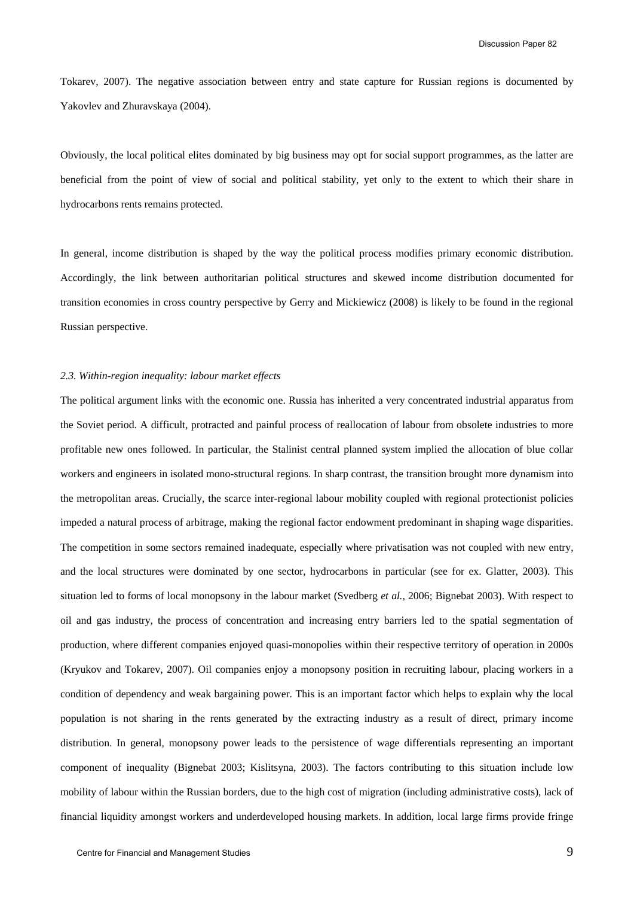Tokarev, 2007). The negative association between entry and state capture for Russian regions is documented by Yakovlev and Zhuravskaya (2004).

Obviously, the local political elites dominated by big business may opt for social support programmes, as the latter are beneficial from the point of view of social and political stability, yet only to the extent to which their share in hydrocarbons rents remains protected.

In general, income distribution is shaped by the way the political process modifies primary economic distribution. Accordingly, the link between authoritarian political structures and skewed income distribution documented for transition economies in cross country perspective by Gerry and Mickiewicz (2008) is likely to be found in the regional Russian perspective.

#### *2.3. Within-region inequality: labour market effects*

The political argument links with the economic one. Russia has inherited a very concentrated industrial apparatus from the Soviet period. A difficult, protracted and painful process of reallocation of labour from obsolete industries to more profitable new ones followed. In particular, the Stalinist central planned system implied the allocation of blue collar workers and engineers in isolated mono-structural regions. In sharp contrast, the transition brought more dynamism into the metropolitan areas. Crucially, the scarce inter-regional labour mobility coupled with regional protectionist policies impeded a natural process of arbitrage, making the regional factor endowment predominant in shaping wage disparities. The competition in some sectors remained inadequate, especially where privatisation was not coupled with new entry, and the local structures were dominated by one sector, hydrocarbons in particular (see for ex. Glatter, 2003). This situation led to forms of local monopsony in the labour market (Svedberg *et al.*, 2006; Bignebat 2003). With respect to oil and gas industry, the process of concentration and increasing entry barriers led to the spatial segmentation of production, where different companies enjoyed quasi-monopolies within their respective territory of operation in 2000s (Kryukov and Tokarev, 2007). Oil companies enjoy a monopsony position in recruiting labour, placing workers in a condition of dependency and weak bargaining power. This is an important factor which helps to explain why the local population is not sharing in the rents generated by the extracting industry as a result of direct, primary income distribution. In general, monopsony power leads to the persistence of wage differentials representing an important component of inequality (Bignebat 2003; Kislitsyna, 2003). The factors contributing to this situation include low mobility of labour within the Russian borders, due to the high cost of migration (including administrative costs), lack of financial liquidity amongst workers and underdeveloped housing markets. In addition, local large firms provide fringe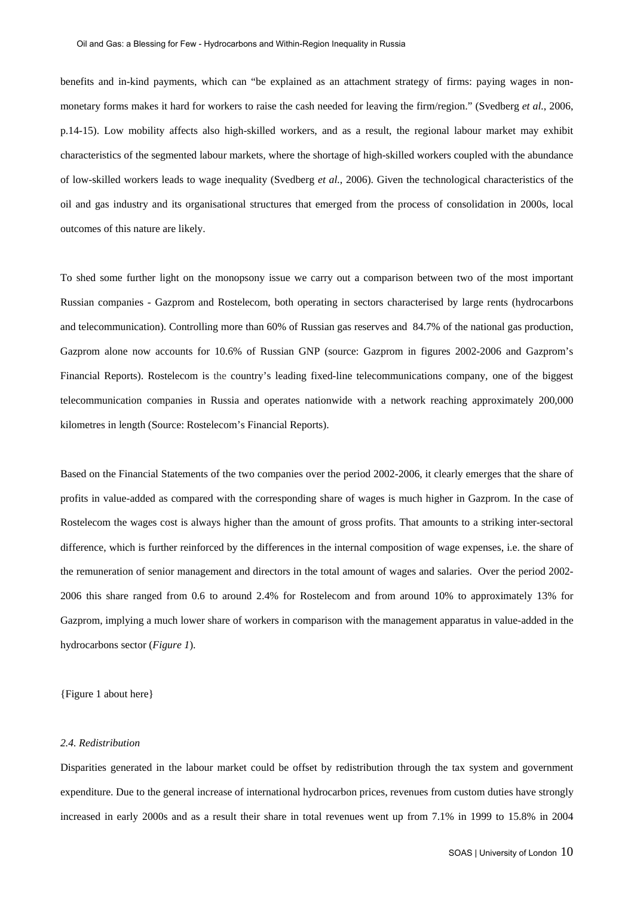benefits and in-kind payments, which can "be explained as an attachment strategy of firms: paying wages in nonmonetary forms makes it hard for workers to raise the cash needed for leaving the firm/region." (Svedberg *et al.*, 2006, p.14-15). Low mobility affects also high-skilled workers, and as a result, the regional labour market may exhibit characteristics of the segmented labour markets, where the shortage of high-skilled workers coupled with the abundance of low-skilled workers leads to wage inequality (Svedberg *et al.*, 2006). Given the technological characteristics of the oil and gas industry and its organisational structures that emerged from the process of consolidation in 2000s, local outcomes of this nature are likely.

To shed some further light on the monopsony issue we carry out a comparison between two of the most important Russian companies - Gazprom and Rostelecom, both operating in sectors characterised by large rents (hydrocarbons and telecommunication). Controlling more than 60% of Russian gas reserves and 84.7% of the national gas production, Gazprom alone now accounts for 10.6% of Russian GNP (source: Gazprom in figures 2002-2006 and Gazprom's Financial Reports). Rostelecom is the country's leading fixed-line telecommunications company, one of the biggest telecommunication companies in Russia and operates nationwide with a network reaching approximately 200,000 kilometres in length (Source: Rostelecom's Financial Reports).

Based on the Financial Statements of the two companies over the period 2002-2006, it clearly emerges that the share of profits in value-added as compared with the corresponding share of wages is much higher in Gazprom. In the case of Rostelecom the wages cost is always higher than the amount of gross profits. That amounts to a striking inter-sectoral difference, which is further reinforced by the differences in the internal composition of wage expenses, i.e. the share of the remuneration of senior management and directors in the total amount of wages and salaries. Over the period 2002- 2006 this share ranged from 0.6 to around 2.4% for Rostelecom and from around 10% to approximately 13% for Gazprom, implying a much lower share of workers in comparison with the management apparatus in value-added in the hydrocarbons sector (*Figure 1*).

{Figure 1 about here}

#### *2.4. Redistribution*

Disparities generated in the labour market could be offset by redistribution through the tax system and government expenditure. Due to the general increase of international hydrocarbon prices, revenues from custom duties have strongly increased in early 2000s and as a result their share in total revenues went up from 7.1% in 1999 to 15.8% in 2004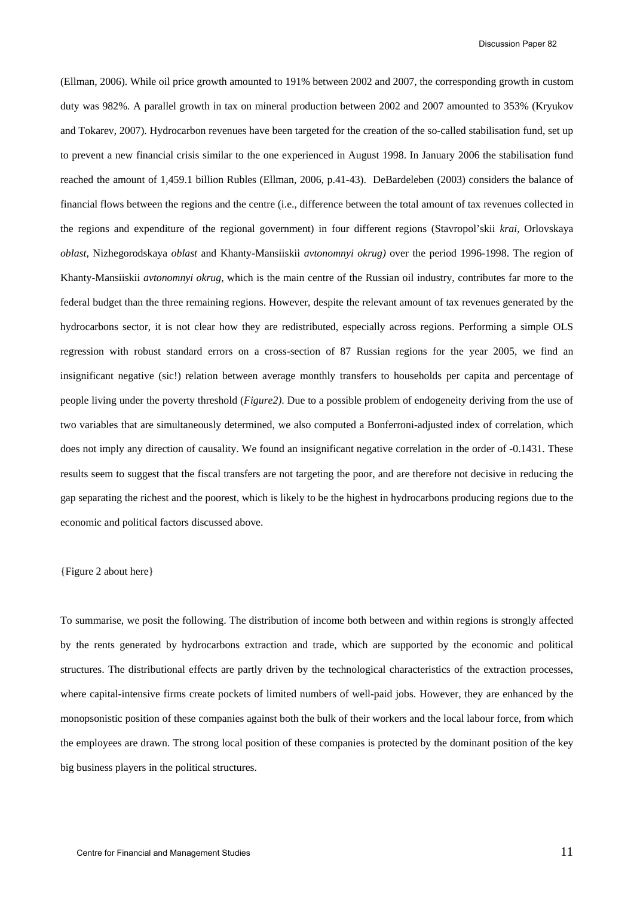Discussion Paper 82

(Ellman, 2006). While oil price growth amounted to 191% between 2002 and 2007, the corresponding growth in custom duty was 982%. A parallel growth in tax on mineral production between 2002 and 2007 amounted to 353% (Kryukov and Tokarev, 2007). Hydrocarbon revenues have been targeted for the creation of the so-called stabilisation fund, set up to prevent a new financial crisis similar to the one experienced in August 1998. In January 2006 the stabilisation fund reached the amount of 1,459.1 billion Rubles (Ellman, 2006, p.41-43). DeBardeleben (2003) considers the balance of financial flows between the regions and the centre (i.e., difference between the total amount of tax revenues collected in the regions and expenditure of the regional government) in four different regions (Stavropol'skii *krai,* Orlovskaya *oblast*, Nizhegorodskaya *oblast* and Khanty-Mansiiskii *avtonomnyi okrug)* over the period 1996-1998. The region of Khanty-Mansiiskii *avtonomnyi okrug*, which is the main centre of the Russian oil industry, contributes far more to the federal budget than the three remaining regions. However, despite the relevant amount of tax revenues generated by the hydrocarbons sector, it is not clear how they are redistributed, especially across regions. Performing a simple OLS regression with robust standard errors on a cross-section of 87 Russian regions for the year 2005, we find an insignificant negative (sic!) relation between average monthly transfers to households per capita and percentage of people living under the poverty threshold (*Figure2)*. Due to a possible problem of endogeneity deriving from the use of two variables that are simultaneously determined, we also computed a Bonferroni-adjusted index of correlation, which does not imply any direction of causality. We found an insignificant negative correlation in the order of -0.1431. These results seem to suggest that the fiscal transfers are not targeting the poor, and are therefore not decisive in reducing the gap separating the richest and the poorest, which is likely to be the highest in hydrocarbons producing regions due to the economic and political factors discussed above.

#### {Figure 2 about here}

To summarise, we posit the following. The distribution of income both between and within regions is strongly affected by the rents generated by hydrocarbons extraction and trade, which are supported by the economic and political structures. The distributional effects are partly driven by the technological characteristics of the extraction processes, where capital-intensive firms create pockets of limited numbers of well-paid jobs. However, they are enhanced by the monopsonistic position of these companies against both the bulk of their workers and the local labour force, from which the employees are drawn. The strong local position of these companies is protected by the dominant position of the key big business players in the political structures.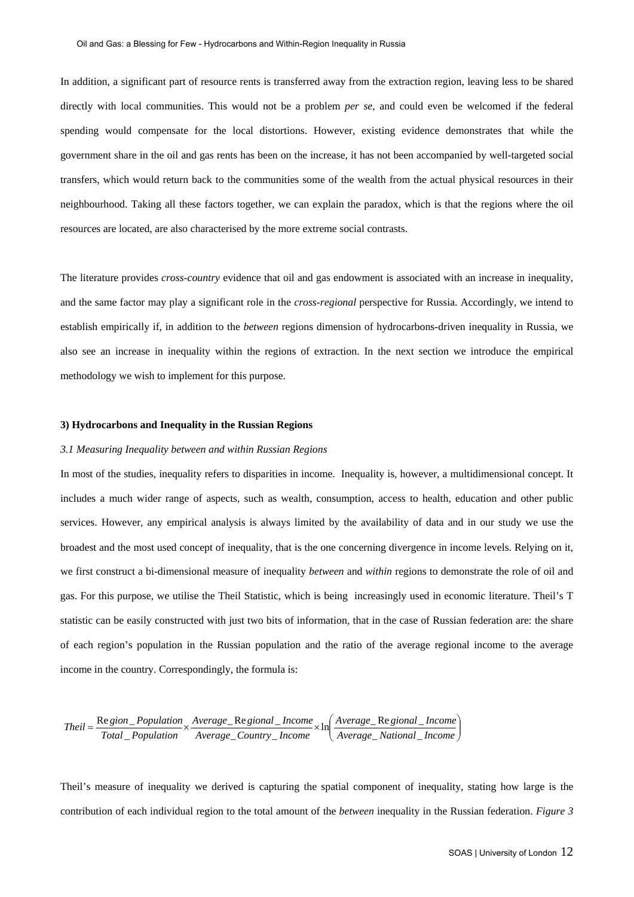In addition, a significant part of resource rents is transferred away from the extraction region, leaving less to be shared directly with local communities. This would not be a problem *per se*, and could even be welcomed if the federal spending would compensate for the local distortions. However, existing evidence demonstrates that while the government share in the oil and gas rents has been on the increase, it has not been accompanied by well-targeted social transfers, which would return back to the communities some of the wealth from the actual physical resources in their neighbourhood. Taking all these factors together, we can explain the paradox, which is that the regions where the oil resources are located, are also characterised by the more extreme social contrasts.

The literature provides *cross-country* evidence that oil and gas endowment is associated with an increase in inequality, and the same factor may play a significant role in the *cross-regional* perspective for Russia. Accordingly, we intend to establish empirically if, in addition to the *between* regions dimension of hydrocarbons-driven inequality in Russia, we also see an increase in inequality within the regions of extraction. In the next section we introduce the empirical methodology we wish to implement for this purpose.

## **3) Hydrocarbons and Inequality in the Russian Regions**

## *3.1 Measuring Inequality between and within Russian Regions*

In most of the studies, inequality refers to disparities in income. Inequality is, however, a multidimensional concept. It includes a much wider range of aspects, such as wealth, consumption, access to health, education and other public services. However, any empirical analysis is always limited by the availability of data and in our study we use the broadest and the most used concept of inequality, that is the one concerning divergence in income levels. Relying on it, we first construct a bi-dimensional measure of inequality *between* and *within* regions to demonstrate the role of oil and gas. For this purpose, we utilise the Theil Statistic, which is being increasingly used in economic literature. Theil's T statistic can be easily constructed with just two bits of information, that in the case of Russian federation are: the share of each region's population in the Russian population and the ratio of the average regional income to the average income in the country. Correspondingly, the formula is:

$$
The il = \frac{Region\_Population}{Total\_Population} \times \frac{Average\_Re\,gional\_Income}{Average\_Country\_Income} \times ln\left(\frac{Average\_Re\,gional\_Income}{Average\_National\_Income}\right)
$$

Theil's measure of inequality we derived is capturing the spatial component of inequality, stating how large is the contribution of each individual region to the total amount of the *between* inequality in the Russian federation. *Figure 3*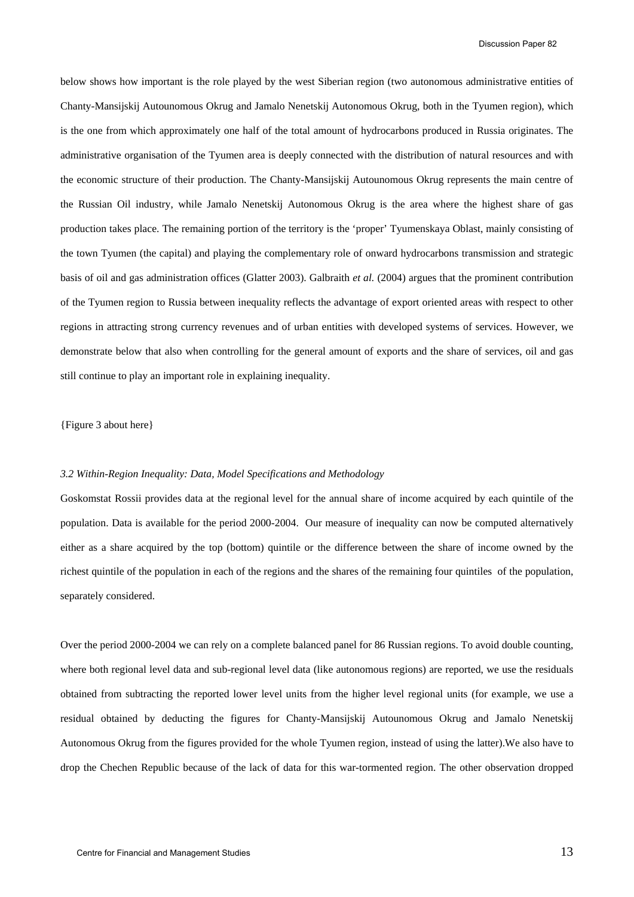below shows how important is the role played by the west Siberian region (two autonomous administrative entities of Chanty-Mansijskij Autounomous Okrug and Jamalo Nenetskij Autonomous Okrug, both in the Tyumen region), which is the one from which approximately one half of the total amount of hydrocarbons produced in Russia originates. The administrative organisation of the Tyumen area is deeply connected with the distribution of natural resources and with the economic structure of their production. The Chanty-Mansijskij Autounomous Okrug represents the main centre of the Russian Oil industry, while Jamalo Nenetskij Autonomous Okrug is the area where the highest share of gas production takes place. The remaining portion of the territory is the 'proper' Tyumenskaya Oblast, mainly consisting of the town Tyumen (the capital) and playing the complementary role of onward hydrocarbons transmission and strategic basis of oil and gas administration offices (Glatter 2003). Galbraith *et al.* (2004) argues that the prominent contribution of the Tyumen region to Russia between inequality reflects the advantage of export oriented areas with respect to other regions in attracting strong currency revenues and of urban entities with developed systems of services. However, we demonstrate below that also when controlling for the general amount of exports and the share of services, oil and gas still continue to play an important role in explaining inequality.

# {Figure 3 about here}

#### *3.2 Within-Region Inequality: Data, Model Specifications and Methodology*

Goskomstat Rossii provides data at the regional level for the annual share of income acquired by each quintile of the population. Data is available for the period 2000-2004. Our measure of inequality can now be computed alternatively either as a share acquired by the top (bottom) quintile or the difference between the share of income owned by the richest quintile of the population in each of the regions and the shares of the remaining four quintiles of the population, separately considered.

Over the period 2000-2004 we can rely on a complete balanced panel for 86 Russian regions. To avoid double counting, where both regional level data and sub-regional level data (like autonomous regions) are reported, we use the residuals obtained from subtracting the reported lower level units from the higher level regional units (for example, we use a residual obtained by deducting the figures for Chanty-Mansijskij Autounomous Okrug and Jamalo Nenetskij Autonomous Okrug from the figures provided for the whole Tyumen region, instead of using the latter).We also have to drop the Chechen Republic because of the lack of data for this war-tormented region. The other observation dropped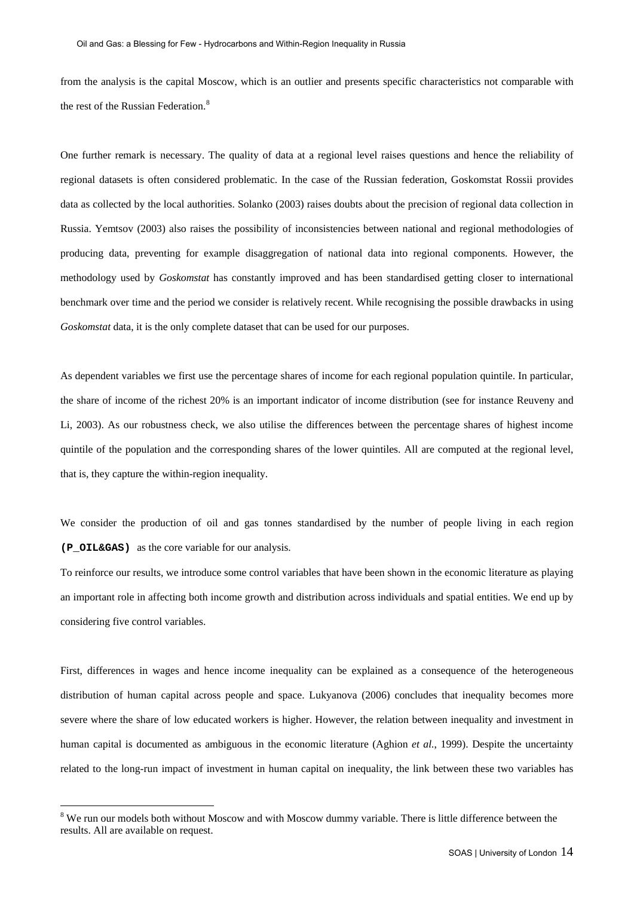<span id="page-13-0"></span>from the analysis is the capital Moscow, which is an outlier and presents specific characteristics not comparable with the rest of the Russian Federation.<sup>[8](#page-13-0)</sup>

One further remark is necessary. The quality of data at a regional level raises questions and hence the reliability of regional datasets is often considered problematic. In the case of the Russian federation, Goskomstat Rossii provides data as collected by the local authorities. Solanko (2003) raises doubts about the precision of regional data collection in Russia. Yemtsov (2003) also raises the possibility of inconsistencies between national and regional methodologies of producing data, preventing for example disaggregation of national data into regional components. However, the methodology used by *Goskomstat* has constantly improved and has been standardised getting closer to international benchmark over time and the period we consider is relatively recent. While recognising the possible drawbacks in using *Goskomstat* data, it is the only complete dataset that can be used for our purposes.

As dependent variables we first use the percentage shares of income for each regional population quintile. In particular, the share of income of the richest 20% is an important indicator of income distribution (see for instance Reuveny and Li, 2003). As our robustness check, we also utilise the differences between the percentage shares of highest income quintile of the population and the corresponding shares of the lower quintiles. All are computed at the regional level, that is, they capture the within-region inequality.

We consider the production of oil and gas tonnes standardised by the number of people living in each region **(P\_OIL&GAS)** as the core variable for our analysis.

To reinforce our results, we introduce some control variables that have been shown in the economic literature as playing an important role in affecting both income growth and distribution across individuals and spatial entities. We end up by considering five control variables.

First, differences in wages and hence income inequality can be explained as a consequence of the heterogeneous distribution of human capital across people and space. Lukyanova (2006) concludes that inequality becomes more severe where the share of low educated workers is higher. However, the relation between inequality and investment in human capital is documented as ambiguous in the economic literature (Aghion *et al.*, 1999). Despite the uncertainty related to the long-run impact of investment in human capital on inequality, the link between these two variables has

 $\overline{a}$ 

 $8$  We run our models both without Moscow and with Moscow dummy variable. There is little difference between the results. All are available on request.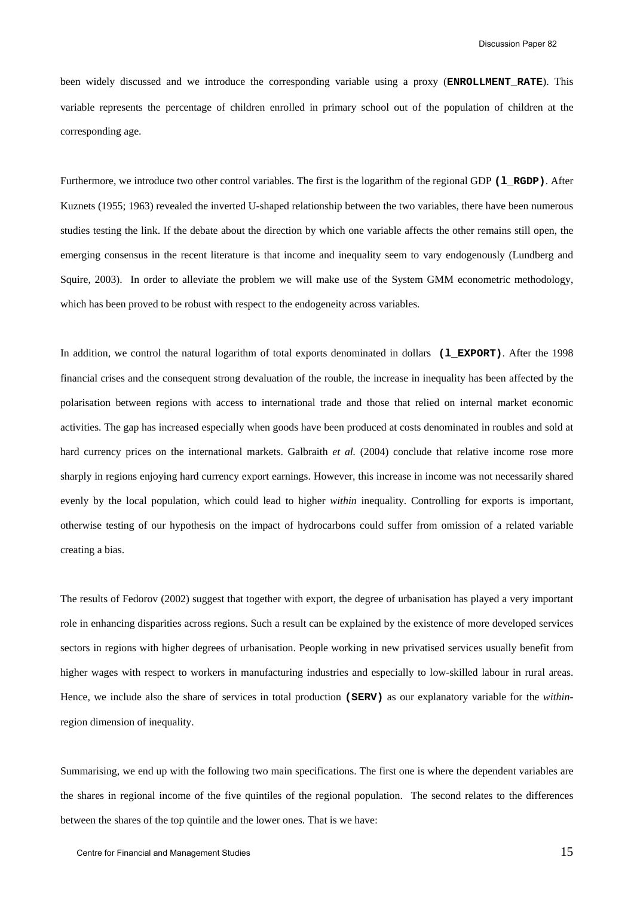been widely discussed and we introduce the corresponding variable using a proxy (**ENROLLMENT\_RATE**). This variable represents the percentage of children enrolled in primary school out of the population of children at the corresponding age.

Furthermore, we introduce two other control variables. The first is the logarithm of the regional GDP **(1\_RGDP)**. After Kuznets (1955; 1963) revealed the inverted U-shaped relationship between the two variables, there have been numerous studies testing the link. If the debate about the direction by which one variable affects the other remains still open, the emerging consensus in the recent literature is that income and inequality seem to vary endogenously (Lundberg and Squire, 2003). In order to alleviate the problem we will make use of the System GMM econometric methodology, which has been proved to be robust with respect to the endogeneity across variables.

In addition, we control the natural logarithm of total exports denominated in dollars (1\_EXPORT). After the 1998 financial crises and the consequent strong devaluation of the rouble, the increase in inequality has been affected by the polarisation between regions with access to international trade and those that relied on internal market economic activities. The gap has increased especially when goods have been produced at costs denominated in roubles and sold at hard currency prices on the international markets. Galbraith *et al.* (2004) conclude that relative income rose more sharply in regions enjoying hard currency export earnings. However, this increase in income was not necessarily shared evenly by the local population, which could lead to higher *within* inequality. Controlling for exports is important, otherwise testing of our hypothesis on the impact of hydrocarbons could suffer from omission of a related variable creating a bias.

The results of Fedorov (2002) suggest that together with export, the degree of urbanisation has played a very important role in enhancing disparities across regions. Such a result can be explained by the existence of more developed services sectors in regions with higher degrees of urbanisation. People working in new privatised services usually benefit from higher wages with respect to workers in manufacturing industries and especially to low-skilled labour in rural areas. Hence, we include also the share of services in total production **(SERV)** as our explanatory variable for the *within*region dimension of inequality.

Summarising, we end up with the following two main specifications. The first one is where the dependent variables are the shares in regional income of the five quintiles of the regional population. The second relates to the differences between the shares of the top quintile and the lower ones. That is we have: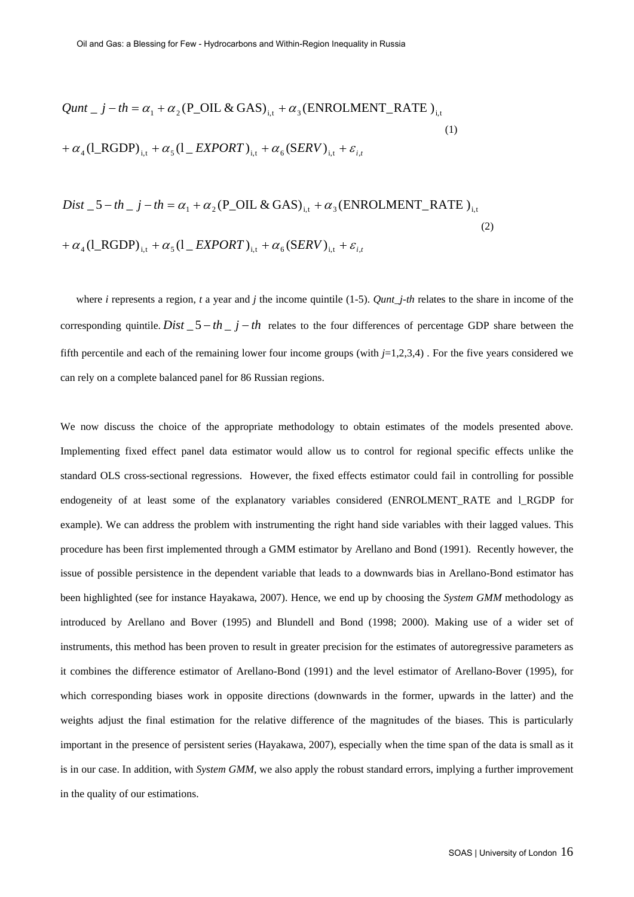$$
Qunt_j - th = \alpha_1 + \alpha_2 (P_OIL & GAS)_{i,t} + \alpha_3 (ENROLMENT\_RATE)_{i,t}
$$
\n
$$
+ \alpha_4 (I_RGDP)_{i,t} + \alpha_5 (I_LEXPORT)_{i,t} + \alpha_6 (SERV)_{i,t} + \varepsilon_{i,t}
$$
\n
$$
(1)
$$

$$
Dist_{-}5 - th_{-} j - th = \alpha_1 + \alpha_2 (P_{-}OIL \& GAS)_{i,t} + \alpha_3 (ENROLMENT_{-}RATE)_{i,t}
$$
  
+  $\alpha_4 (I_{-}RGDP)_{i,t} + \alpha_5 (I_{-}EXPORT)_{i,t} + \alpha_6 (SERV)_{i,t} + \varepsilon_{i,t}$  (2)

where *i* represents a region, *t* a year and *j* the income quintile (1-5). *Qunt j-th* relates to the share in income of the corresponding quintile.  $Dist\_5 - th\_j - th$  relates to the four differences of percentage GDP share between the fifth percentile and each of the remaining lower four income groups (with *j*=1,2,3,4) . For the five years considered we can rely on a complete balanced panel for 86 Russian regions.

We now discuss the choice of the appropriate methodology to obtain estimates of the models presented above. Implementing fixed effect panel data estimator would allow us to control for regional specific effects unlike the standard OLS cross-sectional regressions. However, the fixed effects estimator could fail in controlling for possible endogeneity of at least some of the explanatory variables considered (ENROLMENT RATE and l RGDP for example). We can address the problem with instrumenting the right hand side variables with their lagged values. This procedure has been first implemented through a GMM estimator by Arellano and Bond (1991). Recently however, the issue of possible persistence in the dependent variable that leads to a downwards bias in Arellano-Bond estimator has been highlighted (see for instance Hayakawa, 2007). Hence, we end up by choosing the *System GMM* methodology as introduced by Arellano and Bover (1995) and Blundell and Bond (1998; 2000). Making use of a wider set of instruments, this method has been proven to result in greater precision for the estimates of autoregressive parameters as it combines the difference estimator of Arellano-Bond (1991) and the level estimator of Arellano-Bover (1995), for which corresponding biases work in opposite directions (downwards in the former, upwards in the latter) and the weights adjust the final estimation for the relative difference of the magnitudes of the biases. This is particularly important in the presence of persistent series (Hayakawa, 2007), especially when the time span of the data is small as it is in our case. In addition, with *System GMM*, we also apply the robust standard errors, implying a further improvement in the quality of our estimations.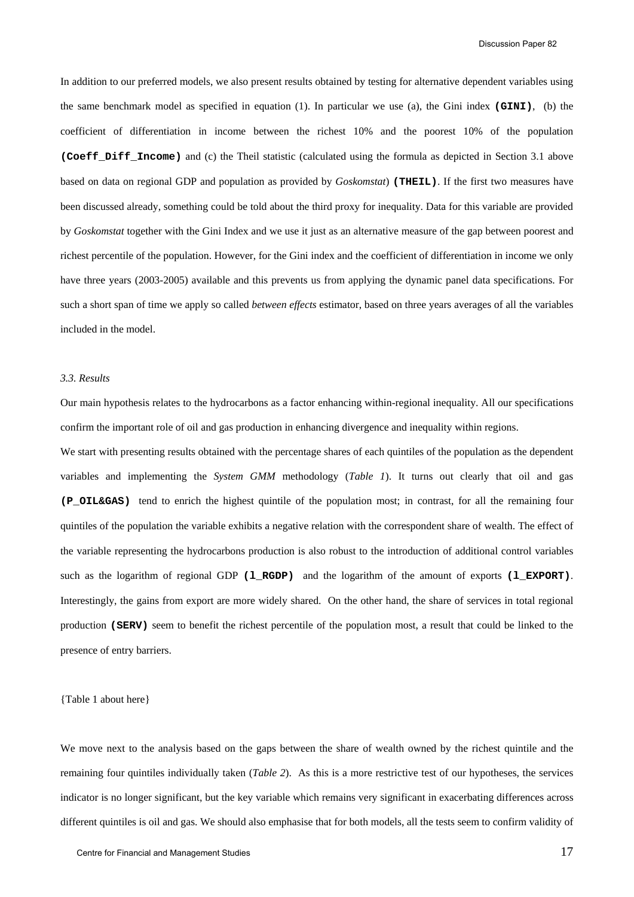In addition to our preferred models, we also present results obtained by testing for alternative dependent variables using the same benchmark model as specified in equation (1). In particular we use (a), the Gini index **(GINI)**, (b) the coefficient of differentiation in income between the richest 10% and the poorest 10% of the population **(Coeff\_Diff\_Income)** and (c) the Theil statistic (calculated using the formula as depicted in Section 3.1 above based on data on regional GDP and population as provided by *Goskomstat*) **(THEIL)**. If the first two measures have been discussed already, something could be told about the third proxy for inequality. Data for this variable are provided by *Goskomstat* together with the Gini Index and we use it just as an alternative measure of the gap between poorest and richest percentile of the population. However, for the Gini index and the coefficient of differentiation in income we only have three years (2003-2005) available and this prevents us from applying the dynamic panel data specifications. For such a short span of time we apply so called *between effects* estimator, based on three years averages of all the variables included in the model.

# *3.3. Results*

Our main hypothesis relates to the hydrocarbons as a factor enhancing within-regional inequality. All our specifications confirm the important role of oil and gas production in enhancing divergence and inequality within regions.

We start with presenting results obtained with the percentage shares of each quintiles of the population as the dependent variables and implementing the *System GMM* methodology (*Table 1*). It turns out clearly that oil and gas **(P\_OIL&GAS)** tend to enrich the highest quintile of the population most; in contrast, for all the remaining four quintiles of the population the variable exhibits a negative relation with the correspondent share of wealth. The effect of the variable representing the hydrocarbons production is also robust to the introduction of additional control variables such as the logarithm of regional GDP **(1\_RGDP)** and the logarithm of the amount of exports **(1\_EXPORT)**. Interestingly, the gains from export are more widely shared. On the other hand, the share of services in total regional production **(SERV)** seem to benefit the richest percentile of the population most, a result that could be linked to the presence of entry barriers.

{Table 1 about here}

We move next to the analysis based on the gaps between the share of wealth owned by the richest quintile and the remaining four quintiles individually taken (*Table 2*). As this is a more restrictive test of our hypotheses, the services indicator is no longer significant, but the key variable which remains very significant in exacerbating differences across different quintiles is oil and gas. We should also emphasise that for both models, all the tests seem to confirm validity of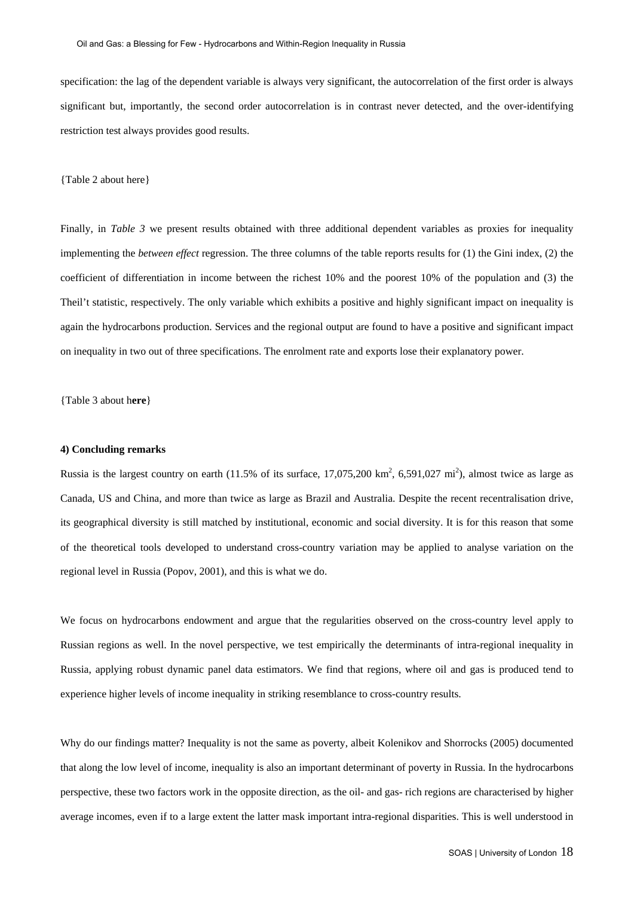specification: the lag of the dependent variable is always very significant, the autocorrelation of the first order is always significant but, importantly, the second order autocorrelation is in contrast never detected, and the over-identifying restriction test always provides good results.

#### {Table 2 about here}

Finally, in *Table 3* we present results obtained with three additional dependent variables as proxies for inequality implementing the *between effect* regression. The three columns of the table reports results for (1) the Gini index, (2) the coefficient of differentiation in income between the richest 10% and the poorest 10% of the population and (3) the Theil't statistic, respectively. The only variable which exhibits a positive and highly significant impact on inequality is again the hydrocarbons production. Services and the regional output are found to have a positive and significant impact on inequality in two out of three specifications. The enrolment rate and exports lose their explanatory power.

{Table 3 about h**ere**}

## **4) Concluding remarks**

Russia is the largest country on earth (11.5% of its surface,  $17,075,200 \text{ km}^2$ , 6,591,027 mi<sup>2</sup>), almost twice as large as Canada, US and China, and more than twice as large as Brazil and Australia. Despite the recent recentralisation drive, its geographical diversity is still matched by institutional, economic and social diversity. It is for this reason that some of the theoretical tools developed to understand cross-country variation may be applied to analyse variation on the regional level in Russia (Popov, 2001), and this is what we do.

We focus on hydrocarbons endowment and argue that the regularities observed on the cross-country level apply to Russian regions as well. In the novel perspective, we test empirically the determinants of intra-regional inequality in Russia, applying robust dynamic panel data estimators. We find that regions, where oil and gas is produced tend to experience higher levels of income inequality in striking resemblance to cross-country results.

Why do our findings matter? Inequality is not the same as poverty, albeit Kolenikov and Shorrocks (2005) documented that along the low level of income, inequality is also an important determinant of poverty in Russia. In the hydrocarbons perspective, these two factors work in the opposite direction, as the oil- and gas- rich regions are characterised by higher average incomes, even if to a large extent the latter mask important intra-regional disparities. This is well understood in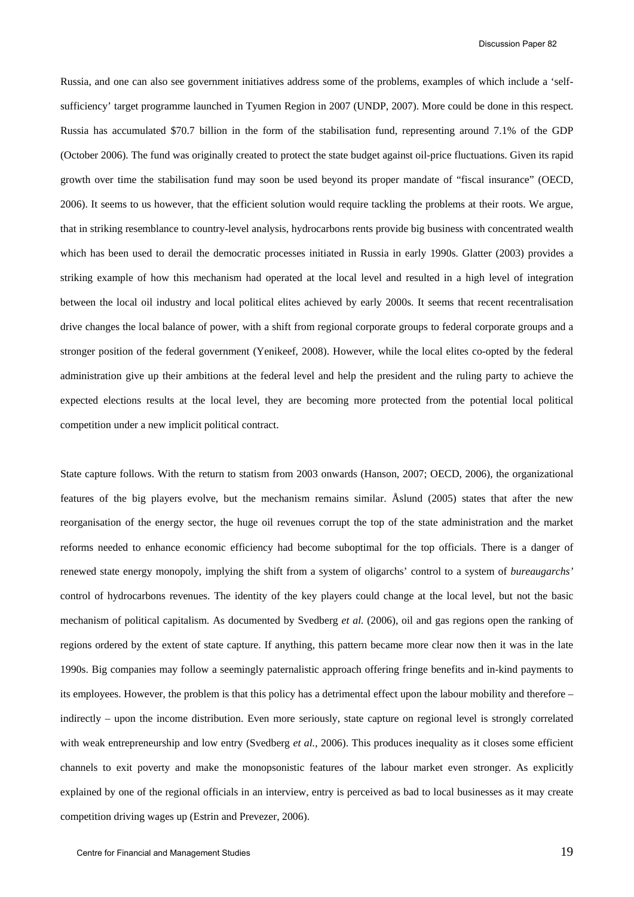Russia, and one can also see government initiatives address some of the problems, examples of which include a 'selfsufficiency' target programme launched in Tyumen Region in 2007 (UNDP, 2007). More could be done in this respect. Russia has accumulated \$70.7 billion in the form of the stabilisation fund, representing around 7.1% of the GDP (October 2006). The fund was originally created to protect the state budget against oil-price fluctuations. Given its rapid growth over time the stabilisation fund may soon be used beyond its proper mandate of "fiscal insurance" (OECD, 2006). It seems to us however, that the efficient solution would require tackling the problems at their roots. We argue, that in striking resemblance to country-level analysis, hydrocarbons rents provide big business with concentrated wealth which has been used to derail the democratic processes initiated in Russia in early 1990s. Glatter (2003) provides a striking example of how this mechanism had operated at the local level and resulted in a high level of integration between the local oil industry and local political elites achieved by early 2000s. It seems that recent recentralisation drive changes the local balance of power, with a shift from regional corporate groups to federal corporate groups and a stronger position of the federal government (Yenikeef, 2008). However, while the local elites co-opted by the federal administration give up their ambitions at the federal level and help the president and the ruling party to achieve the expected elections results at the local level, they are becoming more protected from the potential local political competition under a new implicit political contract.

State capture follows. With the return to statism from 2003 onwards (Hanson, 2007; OECD, 2006), the organizational features of the big players evolve, but the mechanism remains similar. Åslund (2005) states that after the new reorganisation of the energy sector, the huge oil revenues corrupt the top of the state administration and the market reforms needed to enhance economic efficiency had become suboptimal for the top officials. There is a danger of renewed state energy monopoly, implying the shift from a system of oligarchs' control to a system of *bureaugarchs'*  control of hydrocarbons revenues. The identity of the key players could change at the local level, but not the basic mechanism of political capitalism. As documented by Svedberg *et al.* (2006), oil and gas regions open the ranking of regions ordered by the extent of state capture. If anything, this pattern became more clear now then it was in the late 1990s. Big companies may follow a seemingly paternalistic approach offering fringe benefits and in-kind payments to its employees. However, the problem is that this policy has a detrimental effect upon the labour mobility and therefore – indirectly – upon the income distribution. Even more seriously, state capture on regional level is strongly correlated with weak entrepreneurship and low entry (Svedberg *et al.*, 2006). This produces inequality as it closes some efficient channels to exit poverty and make the monopsonistic features of the labour market even stronger. As explicitly explained by one of the regional officials in an interview, entry is perceived as bad to local businesses as it may create competition driving wages up (Estrin and Prevezer, 2006).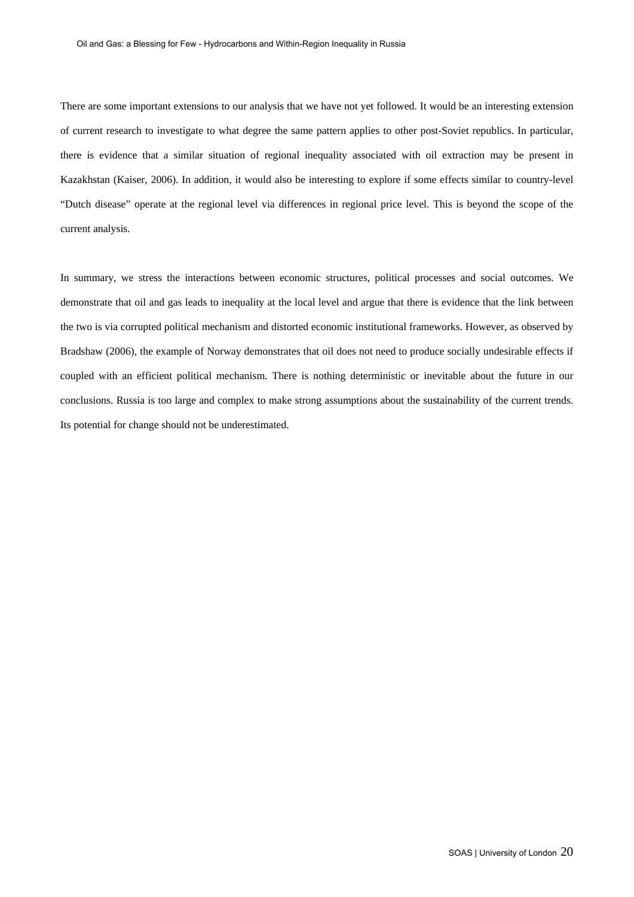There are some important extensions to our analysis that we have not yet followed. It would be an interesting extension of current research to investigate to what degree the same pattern applies to other post-Soviet republics. In particular, there is evidence that a similar situation of regional inequality associated with oil extraction may be present in Kazakhstan (Kaiser, 2006). In addition, it would also be interesting to explore if some effects similar to country-level "Dutch disease" operate at the regional level via differences in regional price level. This is beyond the scope of the current analysis.

In summary, we stress the interactions between economic structures, political processes and social outcomes. We demonstrate that oil and gas leads to inequality at the local level and argue that there is evidence that the link between the two is via corrupted political mechanism and distorted economic institutional frameworks. However, as observed by Bradshaw (2006), the example of Norway demonstrates that oil does not need to produce socially undesirable effects if coupled with an efficient political mechanism. There is nothing deterministic or inevitable about the future in our conclusions. Russia is too large and complex to make strong assumptions about the sustainability of the current trends. Its potential for change should not be underestimated.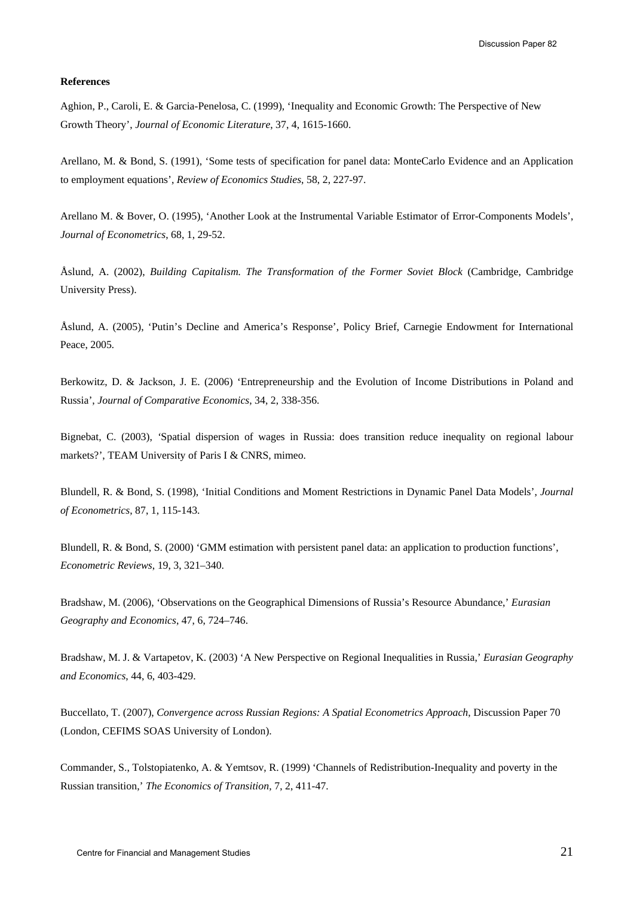#### **References**

Aghion, P., Caroli, E. & Garcia-Penelosa, C. (1999), 'Inequality and Economic Growth: The Perspective of New Growth Theory', *Journal of Economic Literature*, 37, 4, 1615-1660.

Arellano, M. & Bond, S. (1991), 'Some tests of specification for panel data: MonteCarlo Evidence and an Application to employment equations', *Review of Economics Studies*, 58, 2, 227-97.

Arellano M. & Bover, O. (1995), 'Another Look at the Instrumental Variable Estimator of Error-Components Models', *Journal of Econometrics*, 68, 1, 29-52.

Åslund, A. (2002), *Building Capitalism. The Transformation of the Former Soviet Block* (Cambridge, Cambridge University Press).

Åslund, A. (2005), 'Putin's Decline and America's Response', Policy Brief, Carnegie Endowment for International Peace, 2005*.* 

Berkowitz, D. & Jackson, J. E. (2006) 'Entrepreneurship and the Evolution of Income Distributions in Poland and Russia', *Journal of Comparative Economics*, 34, 2, 338-356.

Bignebat, C. (2003), *'*Spatial dispersion of wages in Russia: does transition reduce inequality on regional labour markets?', TEAM University of Paris I & CNRS*,* mimeo.

Blundell, R. & Bond, S. (1998), 'Initial Conditions and Moment Restrictions in Dynamic Panel Data Models', *Journal of Econometrics*, 87, 1, 115-143.

Blundell, R. & Bond, S. (2000) 'GMM estimation with persistent panel data: an application to production functions', *Econometric Reviews*, 19, 3, 321–340.

Bradshaw, M. (2006), 'Observations on the Geographical Dimensions of Russia's Resource Abundance,' *Eurasian Geography and Economics*, 47, 6, 724–746.

Bradshaw, M. J. & Vartapetov, K. (2003) 'A New Perspective on Regional Inequalities in Russia,' *Eurasian Geography and Economics*, 44, 6, 403-429.

Buccellato, T. (2007), *Convergence across Russian Regions: A Spatial Econometrics Approach*, Discussion Paper 70 (London, CEFIMS SOAS University of London).

Commander, S., Tolstopiatenko, A. & Yemtsov, R. (1999) 'Channels of Redistribution-Inequality and poverty in the Russian transition,' *The Economics of Transition,* 7, 2, 411-47.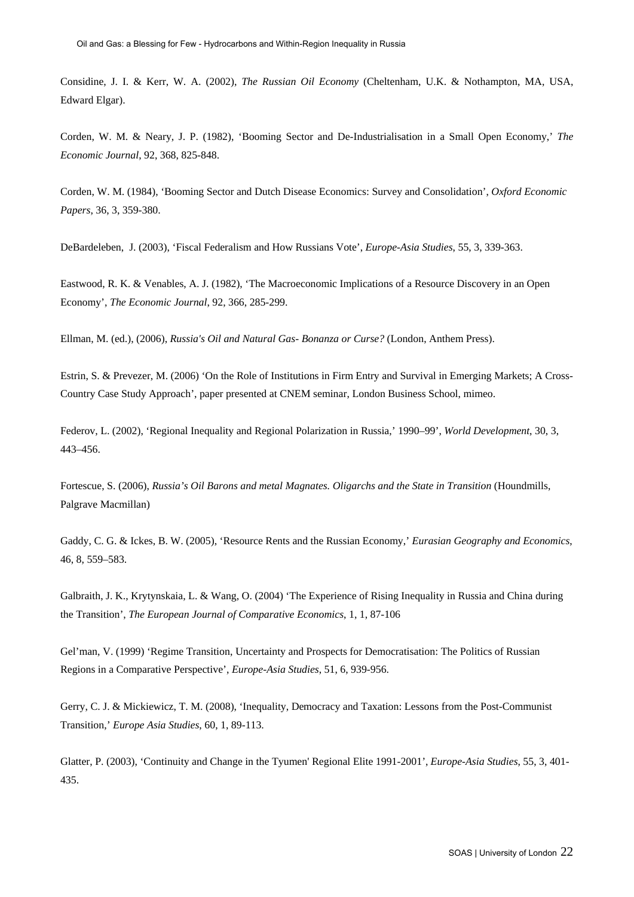Considine, J. I. & Kerr, W. A. (2002), *The Russian Oil Economy* (Cheltenham, U.K. & Nothampton, MA, USA, Edward Elgar).

Corden, W. M. & Neary, J. P. (1982), 'Booming Sector and De-Industrialisation in a Small Open Economy,' *The Economic Journal*, 92, 368, 825-848.

Corden, W. M. (1984), 'Booming Sector and Dutch Disease Economics: Survey and Consolidation', *Oxford Economic Papers*, 36, 3, 359-380.

DeBardeleben, J. (2003), 'Fiscal Federalism and How Russians Vote', *Europe-Asia Studies*, 55, 3, 339-363.

Eastwood, R. K. & Venables, A. J. (1982), 'The Macroeconomic Implications of a Resource Discovery in an Open Economy', *The Economic Journal*, 92, 366, 285-299.

Ellman, M. (ed.), (2006), *Russia's Oil and Natural Gas- Bonanza or Curse?* (London, Anthem Press).

Estrin, S. & Prevezer, M. (2006) 'On the Role of Institutions in Firm Entry and Survival in Emerging Markets; A Cross-Country Case Study Approach', paper presented at CNEM seminar, London Business School, mimeo.

Federov, L. (2002), 'Regional Inequality and Regional Polarization in Russia,' 1990–99', *World Development*, 30, 3, 443–456.

Fortescue, S. (2006), *Russia's Oil Barons and metal Magnates. Oligarchs and the State in Transition* (Houndmills, Palgrave Macmillan)

Gaddy, C. G. & Ickes, B. W. (2005), 'Resource Rents and the Russian Economy,' *Eurasian Geography and Economics*, 46, 8, 559–583.

Galbraith, J. K., Krytynskaia, L. & Wang, O. (2004) 'The Experience of Rising Inequality in Russia and China during the Transition', *The European Journal of Comparative Economics*, 1, 1, 87-106

Gel'man, V. (1999) 'Regime Transition, Uncertainty and Prospects for Democratisation: The Politics of Russian Regions in a Comparative Perspective', *Europe-Asia Studies*, 51, 6, 939-956.

Gerry, C. J. & Mickiewicz, T. M. (2008), 'Inequality, Democracy and Taxation: Lessons from the Post-Communist Transition,' *Europe Asia Studies*, 60, 1, 89-113.

Glatter, P. (2003), 'Continuity and Change in the Tyumen' Regional Elite 1991-2001', *Europe-Asia Studies*, 55, 3, 401- 435.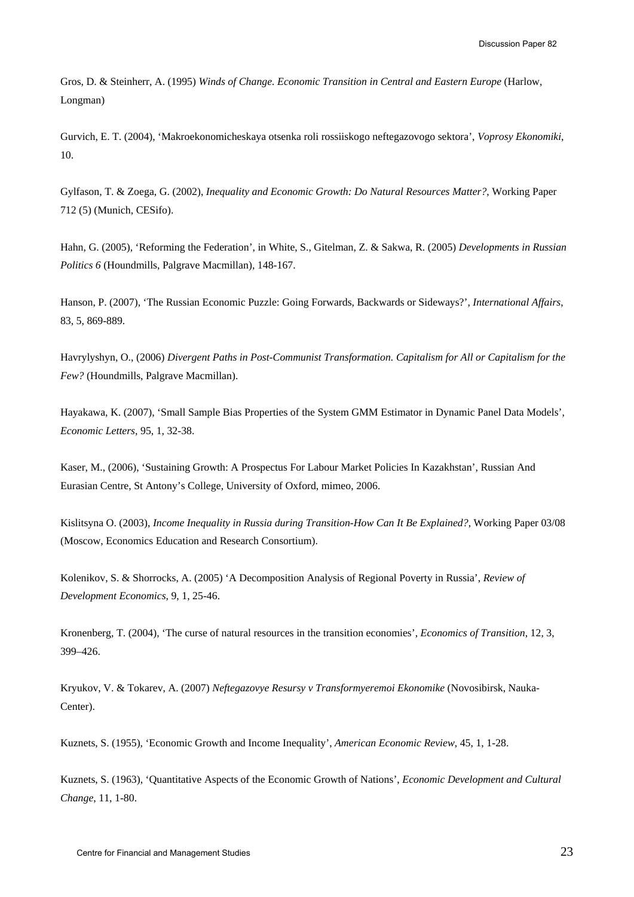Gros, D. & Steinherr, A. (1995) *Winds of Change. Economic Transition in Central and Eastern Europe* (Harlow, Longman)

Gurvich, E. T. (2004), 'Makroekonomicheskaya otsenka roli rossiiskogo neftegazovogo sektora', *Voprosy Ekonomiki*, 10.

Gylfason, T. & Zoega, G. (2002), *Inequality and Economic Growth: Do Natural Resources Matter?*, Working Paper 712 (5) (Munich, CESifo).

Hahn, G. (2005), 'Reforming the Federation', in White, S., Gitelman, Z. & Sakwa, R. (2005) *Developments in Russian Politics 6* (Houndmills, Palgrave Macmillan), 148-167.

Hanson, P. (2007), 'The Russian Economic Puzzle: Going Forwards, Backwards or Sideways?', *International Affairs*, 83, 5, 869-889.

Havrylyshyn, O., (2006) *Divergent Paths in Post-Communist Transformation. Capitalism for All or Capitalism for the Few?* (Houndmills, Palgrave Macmillan).

Hayakawa, K. (2007), 'Small Sample Bias Properties of the System GMM Estimator in Dynamic Panel Data Models', *Economic Letters*, 95, 1, 32-38.

Kaser, M., (2006), 'Sustaining Growth: A Prospectus For Labour Market Policies In Kazakhstan', Russian And Eurasian Centre, St Antony's College, University of Oxford, mimeo, 2006.

Kislitsyna O. (2003), *Income Inequality in Russia during Transition-How Can It Be Explained?*, Working Paper 03/08 (Moscow, Economics Education and Research Consortium).

Kolenikov, S. & Shorrocks, A. (2005) 'A Decomposition Analysis of Regional Poverty in Russia', *Review of Development Economics*, 9, 1, 25-46.

Kronenberg, T. (2004), 'The curse of natural resources in the transition economies', *Economics of Transition*, 12, 3, 399–426.

Kryukov, V. & Tokarev, A. (2007) *Neftegazovye Resursy v Transformyeremoi Ekonomike* (Novosibirsk, Nauka-Center).

Kuznets, S. (1955), 'Economic Growth and Income Inequality', *American Economic Review*, 45, 1, 1-28.

Kuznets, S. (1963), 'Quantitative Aspects of the Economic Growth of Nations', *Economic Development and Cultural Change*, 11, 1-80.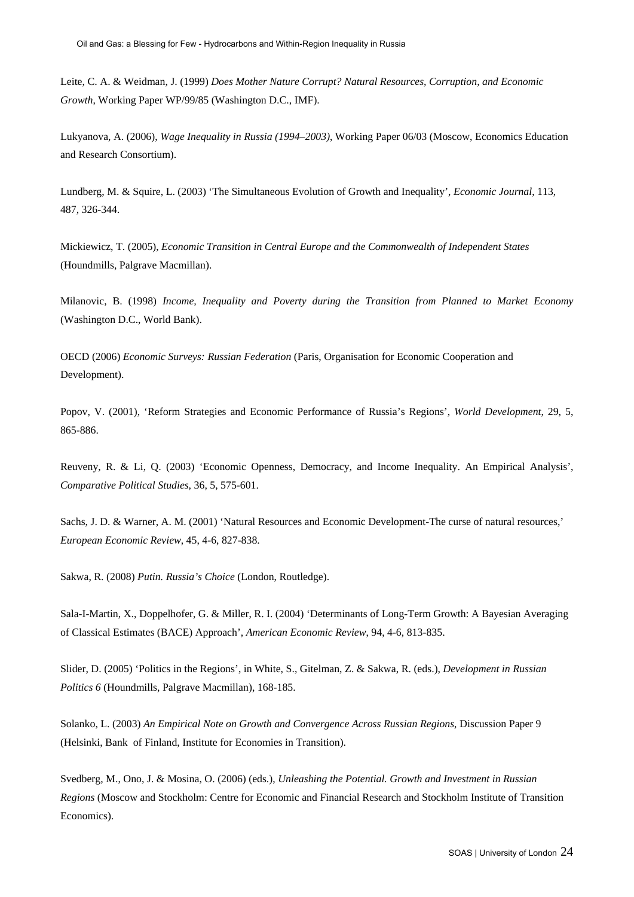Leite, C. A. & Weidman, J. (1999) *Does Mother Nature Corrupt? Natural Resources, Corruption, and Economic Growth*, Working Paper WP/99/85 (Washington D.C., IMF).

Lukyanova, A. (2006), *Wage Inequality in Russia (1994–2003)*, Working Paper 06/03 (Moscow, Economics Education and Research Consortium).

Lundberg, M. & Squire, L. (2003) 'The Simultaneous Evolution of Growth and Inequality', *Economic Journal*, 113, 487, 326-344.

Mickiewicz, T. (2005), *Economic Transition in Central Europe and the Commonwealth of Independent States* (Houndmills, Palgrave Macmillan).

Milanovic, B. (1998) *Income, Inequality and Poverty during the Transition from Planned to Market Economy* (Washington D.C., World Bank).

OECD (2006) *Economic Surveys: Russian Federation* (Paris, Organisation for Economic Cooperation and Development).

Popov, V. (2001), 'Reform Strategies and Economic Performance of Russia's Regions', *World Development*, 29, 5, 865-886.

Reuveny, R. & Li, Q. (2003) 'Economic Openness, Democracy, and Income Inequality. An Empirical Analysis', *Comparative Political Studies*, 36, 5, 575-601.

Sachs, J. D. & Warner, A. M. (2001) 'Natural Resources and Economic Development-The curse of natural resources,' *European Economic Review*, 45, 4-6, 827-838.

Sakwa, R. (2008) *Putin. Russia's Choice* (London, Routledge).

Sala-I-Martin, X., Doppelhofer, G. & Miller, R. I. (2004) 'Determinants of Long-Term Growth: A Bayesian Averaging of Classical Estimates (BACE) Approach', *American Economic Review*, 94, 4-6, 813-835.

Slider, D. (2005) 'Politics in the Regions', in White, S., Gitelman, Z. & Sakwa, R. (eds.), *Development in Russian Politics 6* (Houndmills, Palgrave Macmillan), 168-185.

Solanko, L. (2003) *An Empirical Note on Growth and Convergence Across Russian Regions*, Discussion Paper 9 (Helsinki, Bank of Finland, Institute for Economies in Transition).

Svedberg, M., Ono, J. & Mosina, O. (2006) (eds.), *Unleashing the Potential. Growth and Investment in Russian Regions* (Moscow and Stockholm: Centre for Economic and Financial Research and Stockholm Institute of Transition Economics).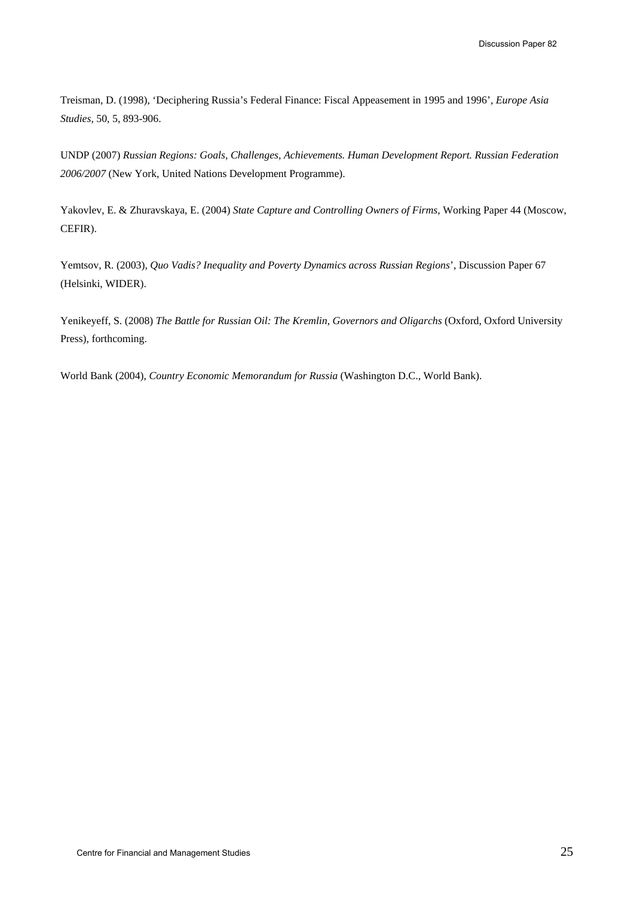Treisman, D. (1998), 'Deciphering Russia's Federal Finance: Fiscal Appeasement in 1995 and 1996', *Europe Asia Studies*, 50, 5, 893-906.

UNDP (2007) *Russian Regions: Goals, Challenges, Achievements. Human Development Report. Russian Federation 2006/2007* (New York, United Nations Development Programme).

Yakovlev, E. & Zhuravskaya, E. (2004) *State Capture and Controlling Owners of Firms*, Working Paper 44 (Moscow, CEFIR).

Yemtsov, R. (2003), *Quo Vadis? Inequality and Poverty Dynamics across Russian Regions*', Discussion Paper 67 (Helsinki, WIDER).

Yenikeyeff, S. (2008) *The Battle for Russian Oil: The Kremlin, Governors and Oligarchs* (Oxford, Oxford University Press), forthcoming.

World Bank (2004), *Country Economic Memorandum for Russia* (Washington D.C., World Bank).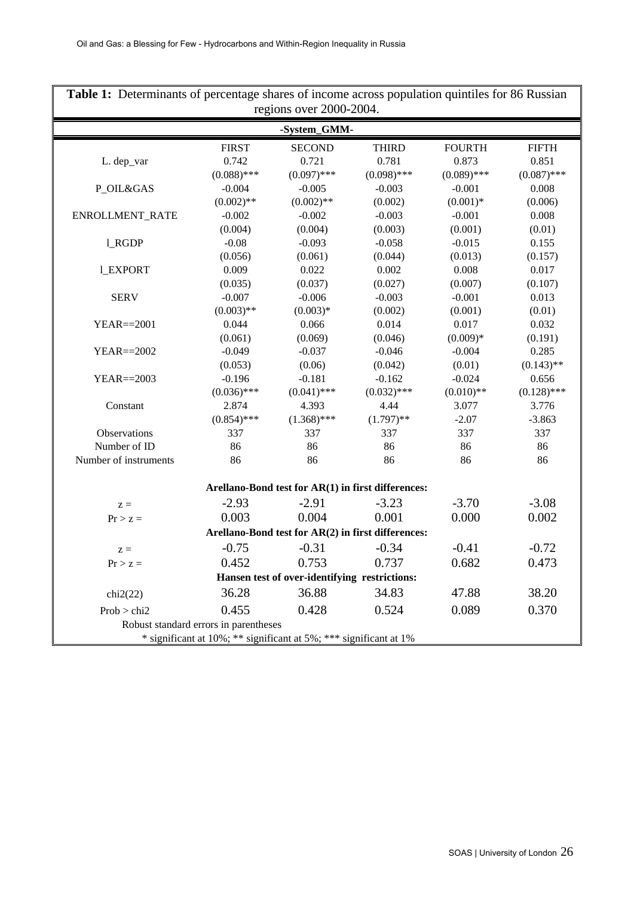| -System_GMM-                                       |               |                                                    |               |               |               |  |  |  |  |
|----------------------------------------------------|---------------|----------------------------------------------------|---------------|---------------|---------------|--|--|--|--|
|                                                    | <b>FIRST</b>  | <b>SECOND</b>                                      | <b>THIRD</b>  | <b>FOURTH</b> | <b>FIFTH</b>  |  |  |  |  |
| L. dep_var                                         | 0.742         | 0.721                                              | 0.781         | 0.873         | 0.851         |  |  |  |  |
|                                                    | $(0.088)$ *** | $(0.097)$ ***                                      | $(0.098)$ *** | $(0.089)$ *** | $(0.087)$ *** |  |  |  |  |
| P_OIL&GAS                                          | $-0.004$      | $-0.005$                                           | $-0.003$      | $-0.001$      | 0.008         |  |  |  |  |
|                                                    | $(0.002)$ **  | $(0.002)$ **                                       | (0.002)       | $(0.001)*$    | (0.006)       |  |  |  |  |
| ENROLLMENT_RATE                                    | $-0.002$      | $-0.002$                                           | $-0.003$      | $-0.001$      | 0.008         |  |  |  |  |
|                                                    | (0.004)       | (0.004)                                            | (0.003)       | (0.001)       | (0.01)        |  |  |  |  |
| 1_RGDP                                             | $-0.08$       | $-0.093$                                           | $-0.058$      | $-0.015$      | 0.155         |  |  |  |  |
|                                                    | (0.056)       | (0.061)                                            | (0.044)       | (0.013)       | (0.157)       |  |  |  |  |
| <b>LEXPORT</b>                                     | 0.009         | 0.022                                              | 0.002         | 0.008         | 0.017         |  |  |  |  |
|                                                    | (0.035)       | (0.037)                                            | (0.027)       | (0.007)       | (0.107)       |  |  |  |  |
| <b>SERV</b>                                        | $-0.007$      | $-0.006$                                           | $-0.003$      | $-0.001$      | 0.013         |  |  |  |  |
|                                                    | $(0.003)$ **  | $(0.003)*$                                         | (0.002)       | (0.001)       | (0.01)        |  |  |  |  |
| YEAR==2001                                         | 0.044         | 0.066                                              | 0.014         | 0.017         | 0.032         |  |  |  |  |
|                                                    | (0.061)       | (0.069)                                            | (0.046)       | $(0.009)*$    | (0.191)       |  |  |  |  |
| YEAR==2002                                         | $-0.049$      | $-0.037$                                           | $-0.046$      | $-0.004$      | 0.285         |  |  |  |  |
|                                                    | (0.053)       | (0.06)                                             | (0.042)       | (0.01)        | $(0.143)$ **  |  |  |  |  |
| YEAR==2003                                         | $-0.196$      | $-0.181$                                           | $-0.162$      | $-0.024$      | 0.656         |  |  |  |  |
|                                                    | $(0.036)$ *** | $(0.041)$ ***                                      | $(0.032)$ *** | $(0.010)$ **  | $(0.128)$ *** |  |  |  |  |
| Constant                                           | 2.874         | 4.393                                              | 4.44          | 3.077         | 3.776         |  |  |  |  |
|                                                    | $(0.854)$ *** | $(1.368)$ ***                                      | $(1.797)$ **  | $-2.07$       | $-3.863$      |  |  |  |  |
| Observations                                       | 337           | 337                                                | 337           | 337           | 337           |  |  |  |  |
| Number of ID                                       | 86            | 86                                                 | 86            | 86            | 86            |  |  |  |  |
| Number of instruments                              | 86            | 86                                                 | 86            | 86            | 86            |  |  |  |  |
|                                                    |               | Arellano-Bond test for AR(1) in first differences: |               |               |               |  |  |  |  |
| $z =$                                              | $-2.93$       | $-2.91$                                            | $-3.23$       | $-3.70$       | $-3.08$       |  |  |  |  |
| $Pr > z =$                                         | 0.003         | 0.004                                              | 0.001         | 0.000         | 0.002         |  |  |  |  |
| Arellano-Bond test for AR(2) in first differences: |               |                                                    |               |               |               |  |  |  |  |
| $Z =$                                              | $-0.75$       | $-0.31$                                            | $-0.34$       | $-0.41$       | $-0.72$       |  |  |  |  |
| $Pr > z =$                                         | 0.452         | 0.753                                              | 0.737         | 0.682         | 0.473         |  |  |  |  |
| Hansen test of over-identifying restrictions:      |               |                                                    |               |               |               |  |  |  |  |
| chi2(22)                                           | 36.28         | 36.88                                              | 34.83         | 47.88         | 38.20         |  |  |  |  |
| Prob > chi2                                        | 0.455         | 0.428                                              | 0.524         | 0.089         | 0.370         |  |  |  |  |
| Robust standard errors in parentheses              |               |                                                    |               |               |               |  |  |  |  |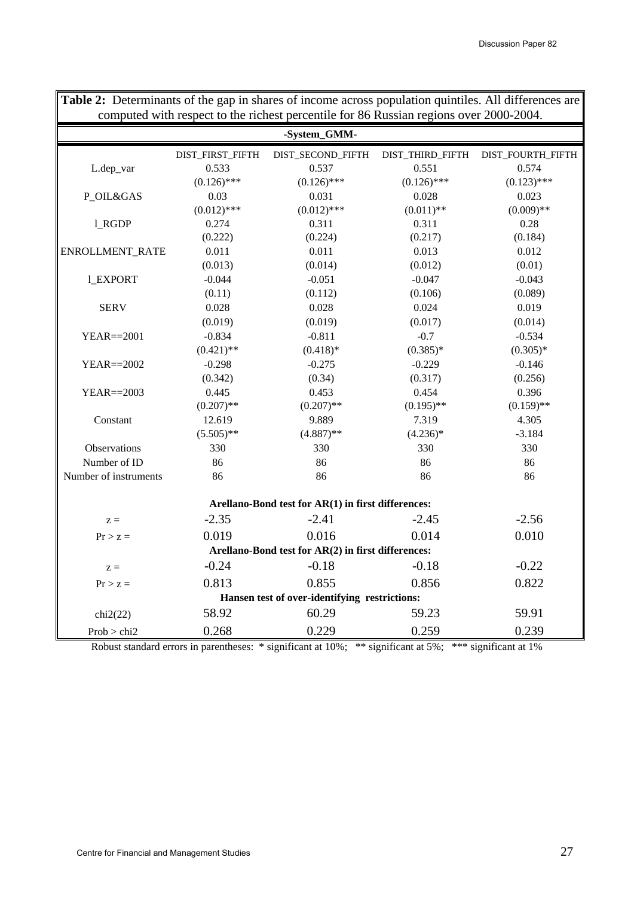| computed with respect to the richest percentile for 86 Russian regions over 2000-2004. |                  |                   |                  |                   |  |  |  |  |
|----------------------------------------------------------------------------------------|------------------|-------------------|------------------|-------------------|--|--|--|--|
|                                                                                        | -System_GMM-     |                   |                  |                   |  |  |  |  |
|                                                                                        | DIST_FIRST_FIFTH | DIST_SECOND_FIFTH | DIST_THIRD_FIFTH | DIST_FOURTH_FIFTH |  |  |  |  |
| L.dep_var                                                                              | 0.533            | 0.537             | 0.551            | 0.574             |  |  |  |  |
|                                                                                        | $(0.126)$ ***    | $(0.126)$ ***     | $(0.126)$ ***    | $(0.123)$ ***     |  |  |  |  |
| P_OIL&GAS                                                                              | 0.03             | 0.031             | 0.028            | 0.023             |  |  |  |  |
|                                                                                        | $(0.012)$ ***    | $(0.012)$ ***     | $(0.011)$ **     | $(0.009)$ **      |  |  |  |  |
| 1_RGDP                                                                                 | 0.274            | 0.311             | 0.311            | 0.28              |  |  |  |  |
|                                                                                        | (0.222)          | (0.224)           | (0.217)          | (0.184)           |  |  |  |  |
| ENROLLMENT_RATE                                                                        | 0.011            | 0.011             | 0.013            | 0.012             |  |  |  |  |
|                                                                                        | (0.013)          | (0.014)           | (0.012)          | (0.01)            |  |  |  |  |
| <b>LEXPORT</b>                                                                         | $-0.044$         | $-0.051$          | $-0.047$         | $-0.043$          |  |  |  |  |
|                                                                                        | (0.11)           | (0.112)           | (0.106)          | (0.089)           |  |  |  |  |
| <b>SERV</b>                                                                            | 0.028            | 0.028             | 0.024            | 0.019             |  |  |  |  |
|                                                                                        | (0.019)          | (0.019)           | (0.017)          | (0.014)           |  |  |  |  |
| YEAR==2001                                                                             | $-0.834$         | $-0.811$          | $-0.7$           | $-0.534$          |  |  |  |  |
|                                                                                        | $(0.421)$ **     | $(0.418)*$        | $(0.385)*$       | $(0.305)*$        |  |  |  |  |
| YEAR==2002                                                                             | $-0.298$         | $-0.275$          | $-0.229$         | $-0.146$          |  |  |  |  |
|                                                                                        | (0.342)          | (0.34)            | (0.317)          | (0.256)           |  |  |  |  |
| $YEAR == 2003$                                                                         | 0.445            | 0.453             | 0.454            | 0.396             |  |  |  |  |
|                                                                                        | $(0.207)$ **     | $(0.207)$ **      | $(0.195)$ **     | $(0.159)$ **      |  |  |  |  |
| Constant                                                                               | 12.619           | 9.889             | 7.319            | 4.305             |  |  |  |  |
|                                                                                        | $(5.505)$ **     | $(4.887)$ **      | $(4.236)*$       | $-3.184$          |  |  |  |  |
| Observations                                                                           | 330              | 330               | 330              | 330               |  |  |  |  |
| Number of ID                                                                           | 86               | 86                | 86               | 86                |  |  |  |  |
| Number of instruments                                                                  | 86               | 86                | 86               | 86                |  |  |  |  |
| Arellano-Bond test for AR(1) in first differences:                                     |                  |                   |                  |                   |  |  |  |  |
| $z =$                                                                                  | $-2.35$          | $-2.41$           | $-2.45$          | $-2.56$           |  |  |  |  |
| $Pr > z =$                                                                             | 0.019            | 0.016             | 0.014            | 0.010             |  |  |  |  |
| Arellano-Bond test for AR(2) in first differences:                                     |                  |                   |                  |                   |  |  |  |  |
| $z =$                                                                                  | $-0.24$          | $-0.18$           | $-0.18$          | $-0.22$           |  |  |  |  |
| $Pr > z =$                                                                             | 0.813            | 0.855             | 0.856            | 0.822             |  |  |  |  |
| Hansen test of over-identifying restrictions:                                          |                  |                   |                  |                   |  |  |  |  |
| chi2(22)                                                                               | 58.92            | 60.29             | 59.23            | 59.91             |  |  |  |  |
| Prob > chi2                                                                            | 0.268            | 0.229             | 0.259            | 0.239             |  |  |  |  |

**Table 2:** Determinants of the gap in shares of income across population quintiles. All differences are

Robust standard errors in parentheses: \* significant at 10%; \*\* significant at 5%; \*\*\* significant at 1%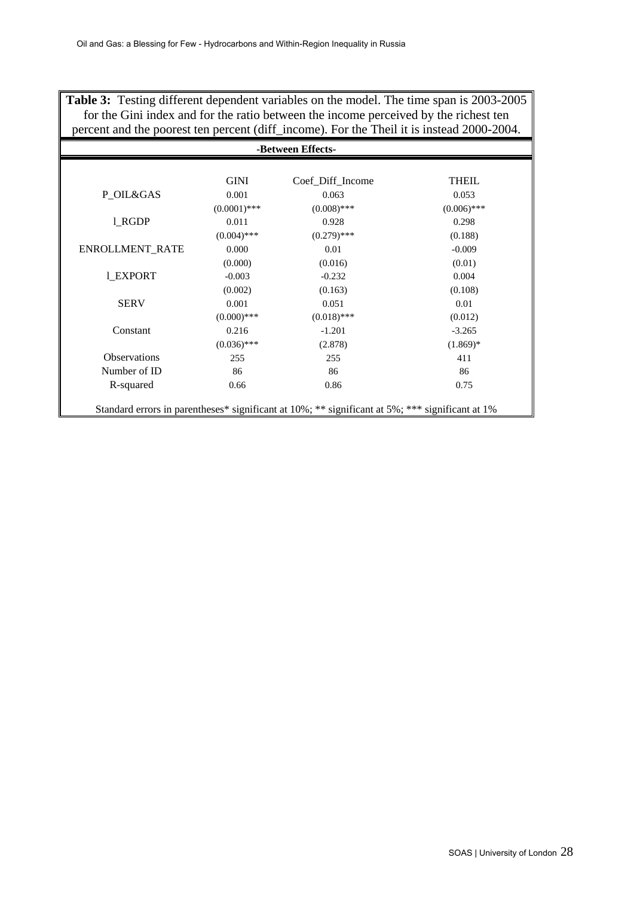**Table 3:** Testing different dependent variables on the model. The time span is 2003-2005 for the Gini index and for the ratio between the income perceived by the richest ten percent and the poorest ten percent (diff\_income). For the Theil it is instead 2000-2004.

| -Between Effects-                                                                               |                |                  |               |  |  |  |  |
|-------------------------------------------------------------------------------------------------|----------------|------------------|---------------|--|--|--|--|
|                                                                                                 |                |                  |               |  |  |  |  |
|                                                                                                 | <b>GINI</b>    | Coef_Diff_Income | <b>THEIL</b>  |  |  |  |  |
| P OIL&GAS                                                                                       | 0.001          | 0.063            | 0.053         |  |  |  |  |
|                                                                                                 | $(0.0001)$ *** | $(0.008)$ ***    | $(0.006)$ *** |  |  |  |  |
| 1_RGDP                                                                                          | 0.011          | 0.928            | 0.298         |  |  |  |  |
|                                                                                                 | $(0.004)$ ***  | $(0.279)$ ***    | (0.188)       |  |  |  |  |
| ENROLLMENT_RATE                                                                                 | 0.000          | 0.01             | $-0.009$      |  |  |  |  |
|                                                                                                 | (0.000)        | (0.016)          | (0.01)        |  |  |  |  |
| 1 EXPORT                                                                                        | $-0.003$       | $-0.232$         | 0.004         |  |  |  |  |
|                                                                                                 | (0.002)        | (0.163)          | (0.108)       |  |  |  |  |
| <b>SERV</b>                                                                                     | 0.001          | 0.051            | 0.01          |  |  |  |  |
|                                                                                                 | $(0.000)$ ***  | $(0.018)$ ***    | (0.012)       |  |  |  |  |
| Constant                                                                                        | 0.216          | $-1.201$         | $-3.265$      |  |  |  |  |
|                                                                                                 | $(0.036)$ ***  | (2.878)          | $(1.869)*$    |  |  |  |  |
| <b>Observations</b>                                                                             | 255            | 255              | 411           |  |  |  |  |
| Number of ID                                                                                    | 86             | 86               | 86            |  |  |  |  |
| R-squared                                                                                       | 0.66           | 0.86             | 0.75          |  |  |  |  |
| Standard errors in parentheses* significant at 10%; ** significant at 5%; *** significant at 1% |                |                  |               |  |  |  |  |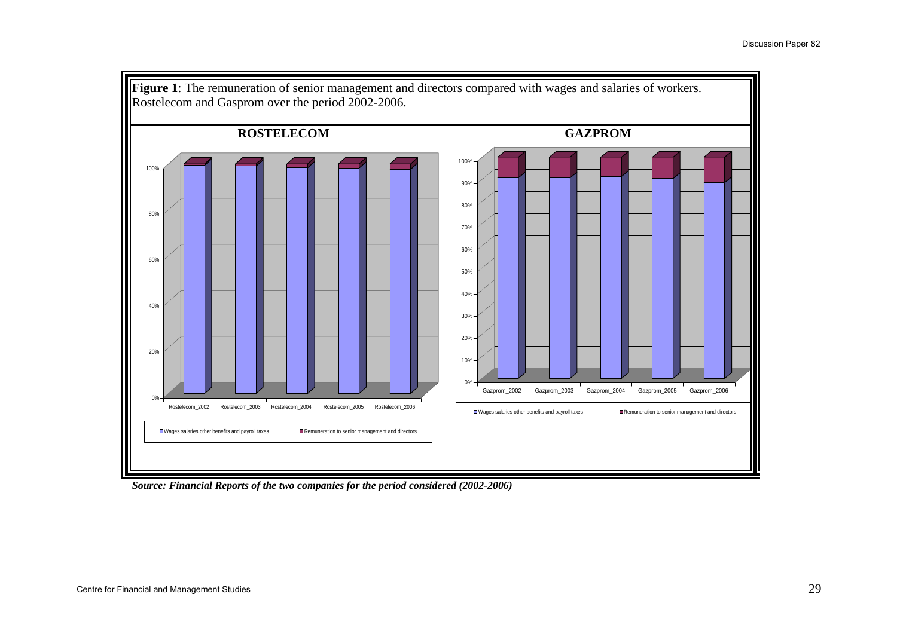

*Source: Financial Reports of the two companies for the period considered (2002-2006)*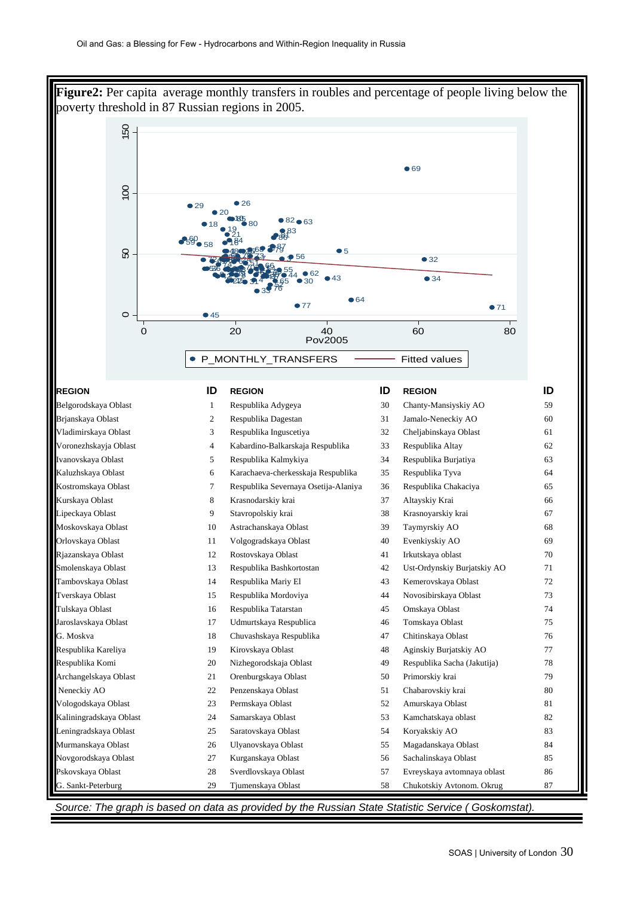

*Source: The graph is based on data as provided by the Russian State Statistic Service ( Goskomstat).*